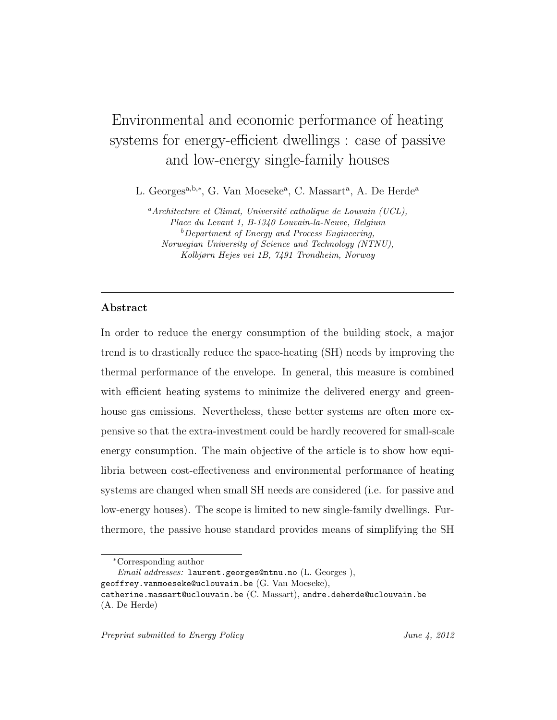# Environmental and economic performance of heating systems for energy-efficient dwellings : case of passive and low-energy single-family houses

L. Georges<sup>a,b,\*</sup>, G. Van Moeseke<sup>a</sup>, C. Massart<sup>a</sup>, A. De Herde<sup>a</sup>

<sup>a</sup>Architecture et Climat, Université catholique de Louvain (UCL), Place du Levant 1, B-1340 Louvain-la-Neuve, Belgium <sup>b</sup>Department of Energy and Process Engineering, Norwegian University of Science and Technology (NTNU), Kolbjørn Hejes vei 1B, 7491 Trondheim, Norway

# Abstract

In order to reduce the energy consumption of the building stock, a major trend is to drastically reduce the space-heating (SH) needs by improving the thermal performance of the envelope. In general, this measure is combined with efficient heating systems to minimize the delivered energy and greenhouse gas emissions. Nevertheless, these better systems are often more expensive so that the extra-investment could be hardly recovered for small-scale energy consumption. The main objective of the article is to show how equilibria between cost-effectiveness and environmental performance of heating systems are changed when small SH needs are considered (i.e. for passive and low-energy houses). The scope is limited to new single-family dwellings. Furthermore, the passive house standard provides means of simplifying the SH

Email addresses: laurent.georges@ntnu.no (L. Georges ),

geoffrey.vanmoeseke@uclouvain.be (G. Van Moeseke),

<sup>∗</sup>Corresponding author

catherine.massart@uclouvain.be (C. Massart), andre.deherde@uclouvain.be (A. De Herde)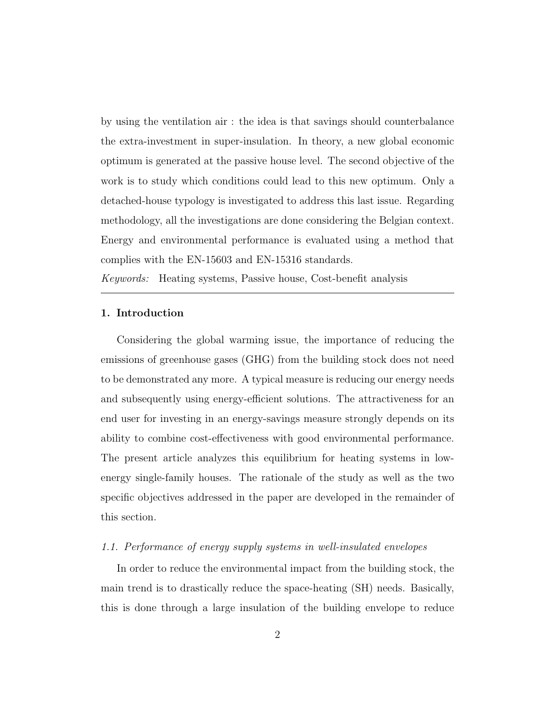by using the ventilation air : the idea is that savings should counterbalance the extra-investment in super-insulation. In theory, a new global economic optimum is generated at the passive house level. The second objective of the work is to study which conditions could lead to this new optimum. Only a detached-house typology is investigated to address this last issue. Regarding methodology, all the investigations are done considering the Belgian context. Energy and environmental performance is evaluated using a method that complies with the EN-15603 and EN-15316 standards.

Keywords: Heating systems, Passive house, Cost-benefit analysis

## 1. Introduction

Considering the global warming issue, the importance of reducing the emissions of greenhouse gases (GHG) from the building stock does not need to be demonstrated any more. A typical measure is reducing our energy needs and subsequently using energy-efficient solutions. The attractiveness for an end user for investing in an energy-savings measure strongly depends on its ability to combine cost-effectiveness with good environmental performance. The present article analyzes this equilibrium for heating systems in lowenergy single-family houses. The rationale of the study as well as the two specific objectives addressed in the paper are developed in the remainder of this section.

## 1.1. Performance of energy supply systems in well-insulated envelopes

In order to reduce the environmental impact from the building stock, the main trend is to drastically reduce the space-heating (SH) needs. Basically, this is done through a large insulation of the building envelope to reduce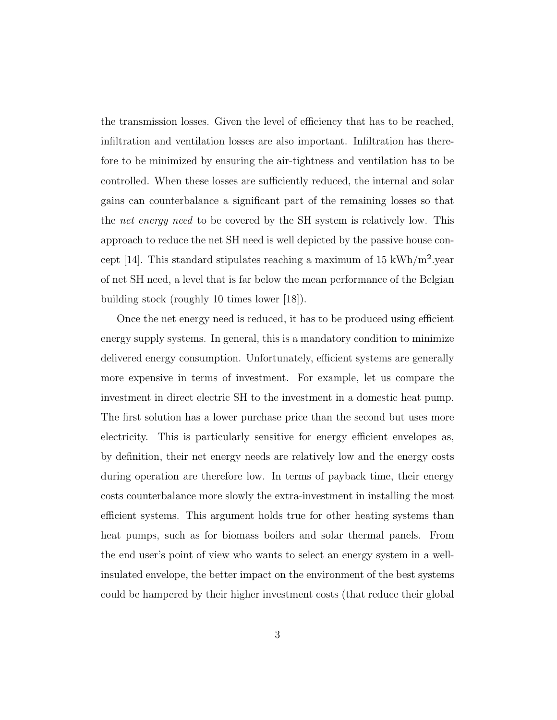the transmission losses. Given the level of efficiency that has to be reached, infiltration and ventilation losses are also important. Infiltration has therefore to be minimized by ensuring the air-tightness and ventilation has to be controlled. When these losses are sufficiently reduced, the internal and solar gains can counterbalance a significant part of the remaining losses so that the *net energy need* to be covered by the SH system is relatively low. This approach to reduce the net SH need is well depicted by the passive house concept [14]. This standard stipulates reaching a maximum of 15 kWh/m<sup>2</sup> year of net SH need, a level that is far below the mean performance of the Belgian building stock (roughly 10 times lower [18]).

Once the net energy need is reduced, it has to be produced using efficient energy supply systems. In general, this is a mandatory condition to minimize delivered energy consumption. Unfortunately, efficient systems are generally more expensive in terms of investment. For example, let us compare the investment in direct electric SH to the investment in a domestic heat pump. The first solution has a lower purchase price than the second but uses more electricity. This is particularly sensitive for energy efficient envelopes as, by definition, their net energy needs are relatively low and the energy costs during operation are therefore low. In terms of payback time, their energy costs counterbalance more slowly the extra-investment in installing the most efficient systems. This argument holds true for other heating systems than heat pumps, such as for biomass boilers and solar thermal panels. From the end user's point of view who wants to select an energy system in a wellinsulated envelope, the better impact on the environment of the best systems could be hampered by their higher investment costs (that reduce their global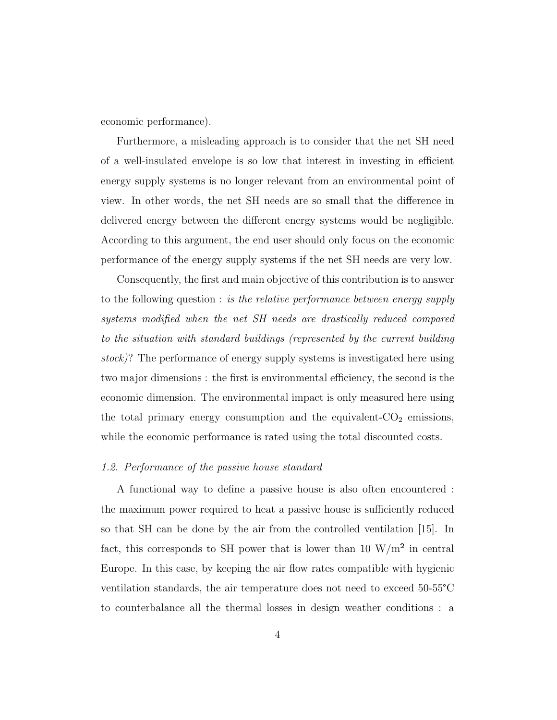economic performance).

Furthermore, a misleading approach is to consider that the net SH need of a well-insulated envelope is so low that interest in investing in efficient energy supply systems is no longer relevant from an environmental point of view. In other words, the net SH needs are so small that the difference in delivered energy between the different energy systems would be negligible. According to this argument, the end user should only focus on the economic performance of the energy supply systems if the net SH needs are very low.

Consequently, the first and main objective of this contribution is to answer to the following question : is the relative performance between energy supply systems modified when the net SH needs are drastically reduced compared to the situation with standard buildings (represented by the current building stock)? The performance of energy supply systems is investigated here using two major dimensions : the first is environmental efficiency, the second is the economic dimension. The environmental impact is only measured here using the total primary energy consumption and the equivalent- $CO<sub>2</sub>$  emissions, while the economic performance is rated using the total discounted costs.

### 1.2. Performance of the passive house standard

A functional way to define a passive house is also often encountered : the maximum power required to heat a passive house is sufficiently reduced so that SH can be done by the air from the controlled ventilation [15]. In fact, this corresponds to SH power that is lower than 10  $\rm W/m^2$  in central Europe. In this case, by keeping the air flow rates compatible with hygienic ventilation standards, the air temperature does not need to exceed 50-55°C to counterbalance all the thermal losses in design weather conditions : a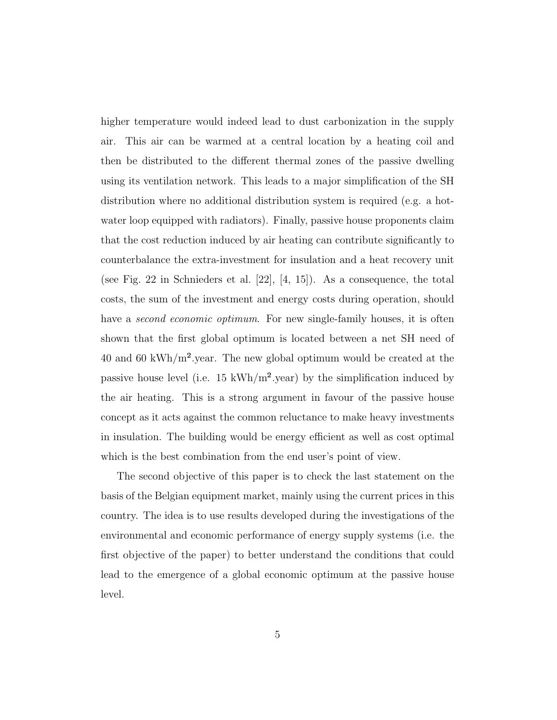higher temperature would indeed lead to dust carbonization in the supply air. This air can be warmed at a central location by a heating coil and then be distributed to the different thermal zones of the passive dwelling using its ventilation network. This leads to a major simplification of the SH distribution where no additional distribution system is required (e.g. a hotwater loop equipped with radiators). Finally, passive house proponents claim that the cost reduction induced by air heating can contribute significantly to counterbalance the extra-investment for insulation and a heat recovery unit (see Fig. 22 in Schnieders et al. [22], [4, 15]). As a consequence, the total costs, the sum of the investment and energy costs during operation, should have a *second economic optimum*. For new single-family houses, it is often shown that the first global optimum is located between a net SH need of 40 and 60 kWh/ $m^2$ , year. The new global optimum would be created at the passive house level (i.e. 15 kWh/m<sup>2</sup>.year) by the simplification induced by the air heating. This is a strong argument in favour of the passive house concept as it acts against the common reluctance to make heavy investments in insulation. The building would be energy efficient as well as cost optimal which is the best combination from the end user's point of view.

The second objective of this paper is to check the last statement on the basis of the Belgian equipment market, mainly using the current prices in this country. The idea is to use results developed during the investigations of the environmental and economic performance of energy supply systems (i.e. the first objective of the paper) to better understand the conditions that could lead to the emergence of a global economic optimum at the passive house level.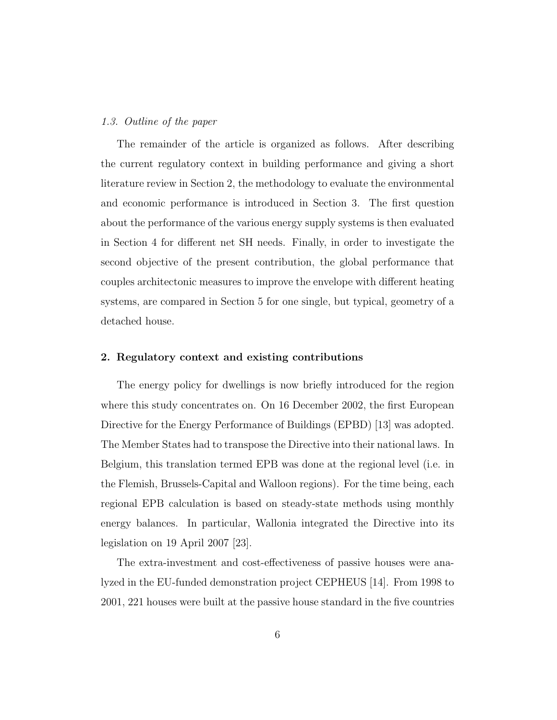#### 1.3. Outline of the paper

The remainder of the article is organized as follows. After describing the current regulatory context in building performance and giving a short literature review in Section 2, the methodology to evaluate the environmental and economic performance is introduced in Section 3. The first question about the performance of the various energy supply systems is then evaluated in Section 4 for different net SH needs. Finally, in order to investigate the second objective of the present contribution, the global performance that couples architectonic measures to improve the envelope with different heating systems, are compared in Section 5 for one single, but typical, geometry of a detached house.

# 2. Regulatory context and existing contributions

The energy policy for dwellings is now briefly introduced for the region where this study concentrates on. On 16 December 2002, the first European Directive for the Energy Performance of Buildings (EPBD) [13] was adopted. The Member States had to transpose the Directive into their national laws. In Belgium, this translation termed EPB was done at the regional level (i.e. in the Flemish, Brussels-Capital and Walloon regions). For the time being, each regional EPB calculation is based on steady-state methods using monthly energy balances. In particular, Wallonia integrated the Directive into its legislation on 19 April 2007 [23].

The extra-investment and cost-effectiveness of passive houses were analyzed in the EU-funded demonstration project CEPHEUS [14]. From 1998 to 2001, 221 houses were built at the passive house standard in the five countries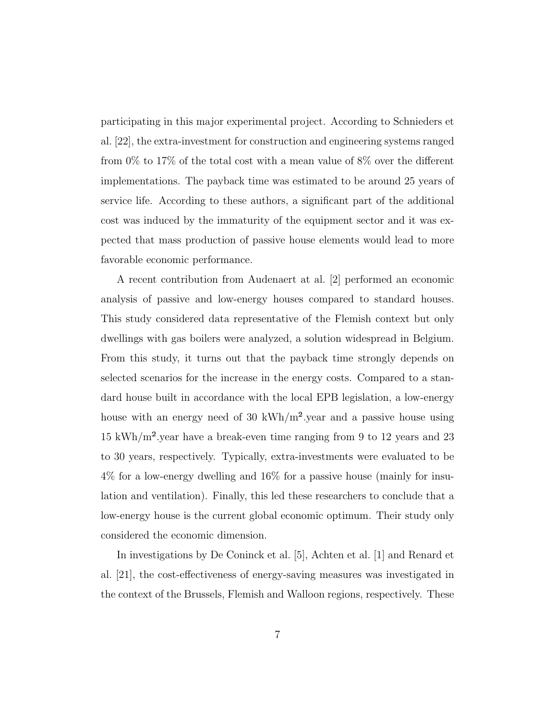participating in this major experimental project. According to Schnieders et al. [22], the extra-investment for construction and engineering systems ranged from 0% to 17% of the total cost with a mean value of 8% over the different implementations. The payback time was estimated to be around 25 years of service life. According to these authors, a significant part of the additional cost was induced by the immaturity of the equipment sector and it was expected that mass production of passive house elements would lead to more favorable economic performance.

A recent contribution from Audenaert at al. [2] performed an economic analysis of passive and low-energy houses compared to standard houses. This study considered data representative of the Flemish context but only dwellings with gas boilers were analyzed, a solution widespread in Belgium. From this study, it turns out that the payback time strongly depends on selected scenarios for the increase in the energy costs. Compared to a standard house built in accordance with the local EPB legislation, a low-energy house with an energy need of 30 kWh/m<sup>2</sup>.year and a passive house using 15 kWh/m².year have a break-even time ranging from 9 to 12 years and 23 to 30 years, respectively. Typically, extra-investments were evaluated to be 4% for a low-energy dwelling and 16% for a passive house (mainly for insulation and ventilation). Finally, this led these researchers to conclude that a low-energy house is the current global economic optimum. Their study only considered the economic dimension.

In investigations by De Coninck et al. [5], Achten et al. [1] and Renard et al. [21], the cost-effectiveness of energy-saving measures was investigated in the context of the Brussels, Flemish and Walloon regions, respectively. These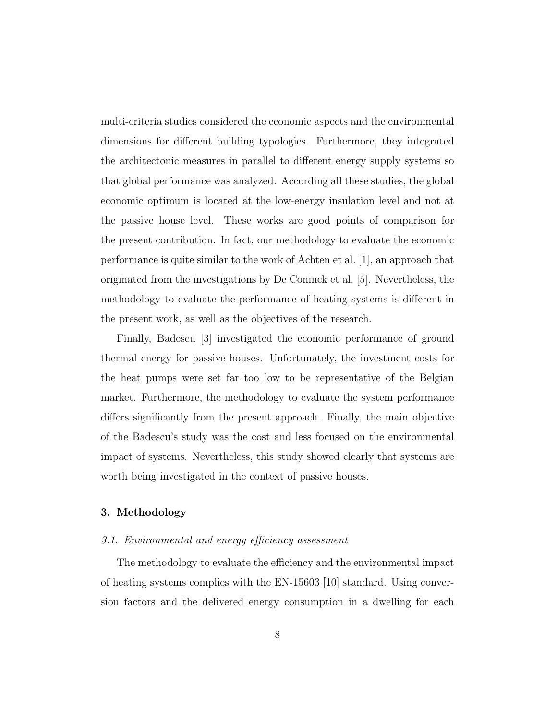multi-criteria studies considered the economic aspects and the environmental dimensions for different building typologies. Furthermore, they integrated the architectonic measures in parallel to different energy supply systems so that global performance was analyzed. According all these studies, the global economic optimum is located at the low-energy insulation level and not at the passive house level. These works are good points of comparison for the present contribution. In fact, our methodology to evaluate the economic performance is quite similar to the work of Achten et al. [1], an approach that originated from the investigations by De Coninck et al. [5]. Nevertheless, the methodology to evaluate the performance of heating systems is different in the present work, as well as the objectives of the research.

Finally, Badescu [3] investigated the economic performance of ground thermal energy for passive houses. Unfortunately, the investment costs for the heat pumps were set far too low to be representative of the Belgian market. Furthermore, the methodology to evaluate the system performance differs significantly from the present approach. Finally, the main objective of the Badescu's study was the cost and less focused on the environmental impact of systems. Nevertheless, this study showed clearly that systems are worth being investigated in the context of passive houses.

#### 3. Methodology

## 3.1. Environmental and energy efficiency assessment

The methodology to evaluate the efficiency and the environmental impact of heating systems complies with the EN-15603 [10] standard. Using conversion factors and the delivered energy consumption in a dwelling for each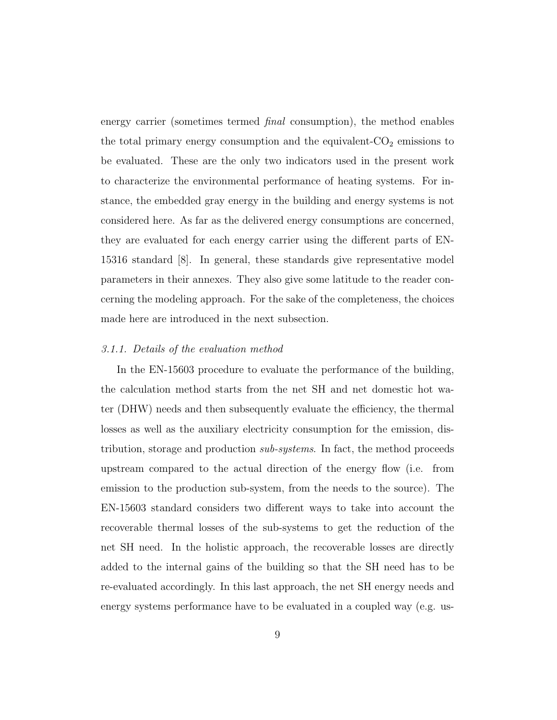energy carrier (sometimes termed *final* consumption), the method enables the total primary energy consumption and the equivalent- $CO<sub>2</sub>$  emissions to be evaluated. These are the only two indicators used in the present work to characterize the environmental performance of heating systems. For instance, the embedded gray energy in the building and energy systems is not considered here. As far as the delivered energy consumptions are concerned, they are evaluated for each energy carrier using the different parts of EN-15316 standard [8]. In general, these standards give representative model parameters in their annexes. They also give some latitude to the reader concerning the modeling approach. For the sake of the completeness, the choices made here are introduced in the next subsection.

# 3.1.1. Details of the evaluation method

In the EN-15603 procedure to evaluate the performance of the building, the calculation method starts from the net SH and net domestic hot water (DHW) needs and then subsequently evaluate the efficiency, the thermal losses as well as the auxiliary electricity consumption for the emission, distribution, storage and production sub-systems. In fact, the method proceeds upstream compared to the actual direction of the energy flow (i.e. from emission to the production sub-system, from the needs to the source). The EN-15603 standard considers two different ways to take into account the recoverable thermal losses of the sub-systems to get the reduction of the net SH need. In the holistic approach, the recoverable losses are directly added to the internal gains of the building so that the SH need has to be re-evaluated accordingly. In this last approach, the net SH energy needs and energy systems performance have to be evaluated in a coupled way (e.g. us-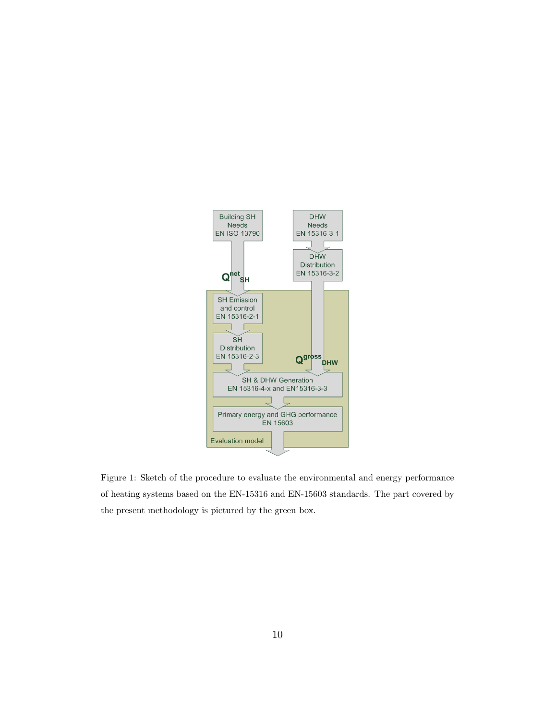

Figure 1: Sketch of the procedure to evaluate the environmental and energy performance of heating systems based on the EN-15316 and EN-15603 standards. The part covered by the present methodology is pictured by the green box.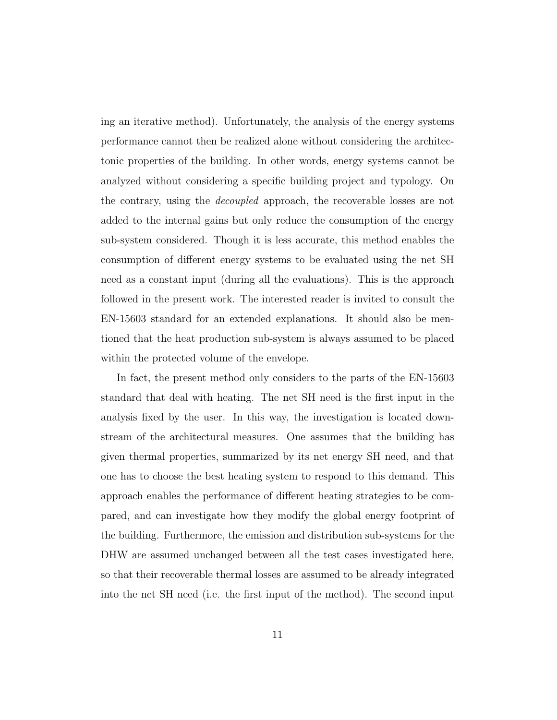ing an iterative method). Unfortunately, the analysis of the energy systems performance cannot then be realized alone without considering the architectonic properties of the building. In other words, energy systems cannot be analyzed without considering a specific building project and typology. On the contrary, using the decoupled approach, the recoverable losses are not added to the internal gains but only reduce the consumption of the energy sub-system considered. Though it is less accurate, this method enables the consumption of different energy systems to be evaluated using the net SH need as a constant input (during all the evaluations). This is the approach followed in the present work. The interested reader is invited to consult the EN-15603 standard for an extended explanations. It should also be mentioned that the heat production sub-system is always assumed to be placed within the protected volume of the envelope.

In fact, the present method only considers to the parts of the EN-15603 standard that deal with heating. The net SH need is the first input in the analysis fixed by the user. In this way, the investigation is located downstream of the architectural measures. One assumes that the building has given thermal properties, summarized by its net energy SH need, and that one has to choose the best heating system to respond to this demand. This approach enables the performance of different heating strategies to be compared, and can investigate how they modify the global energy footprint of the building. Furthermore, the emission and distribution sub-systems for the DHW are assumed unchanged between all the test cases investigated here, so that their recoverable thermal losses are assumed to be already integrated into the net SH need (i.e. the first input of the method). The second input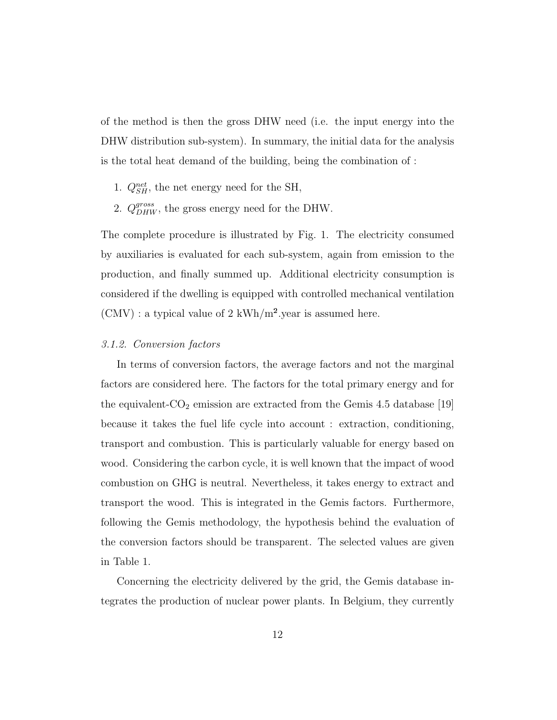of the method is then the gross DHW need (i.e. the input energy into the DHW distribution sub-system). In summary, the initial data for the analysis is the total heat demand of the building, being the combination of :

- 1.  $Q_{SH}^{net}$ , the net energy need for the SH,
- 2.  $Q_{DHW}^{gross}$ , the gross energy need for the DHW.

The complete procedure is illustrated by Fig. 1. The electricity consumed by auxiliaries is evaluated for each sub-system, again from emission to the production, and finally summed up. Additional electricity consumption is considered if the dwelling is equipped with controlled mechanical ventilation  $(CMV)$ : a typical value of 2 kWh/m<sup>2</sup>.year is assumed here.

## 3.1.2. Conversion factors

In terms of conversion factors, the average factors and not the marginal factors are considered here. The factors for the total primary energy and for the equivalent- $CO<sub>2</sub>$  emission are extracted from the Gemis 4.5 database [19] because it takes the fuel life cycle into account : extraction, conditioning, transport and combustion. This is particularly valuable for energy based on wood. Considering the carbon cycle, it is well known that the impact of wood combustion on GHG is neutral. Nevertheless, it takes energy to extract and transport the wood. This is integrated in the Gemis factors. Furthermore, following the Gemis methodology, the hypothesis behind the evaluation of the conversion factors should be transparent. The selected values are given in Table 1.

Concerning the electricity delivered by the grid, the Gemis database integrates the production of nuclear power plants. In Belgium, they currently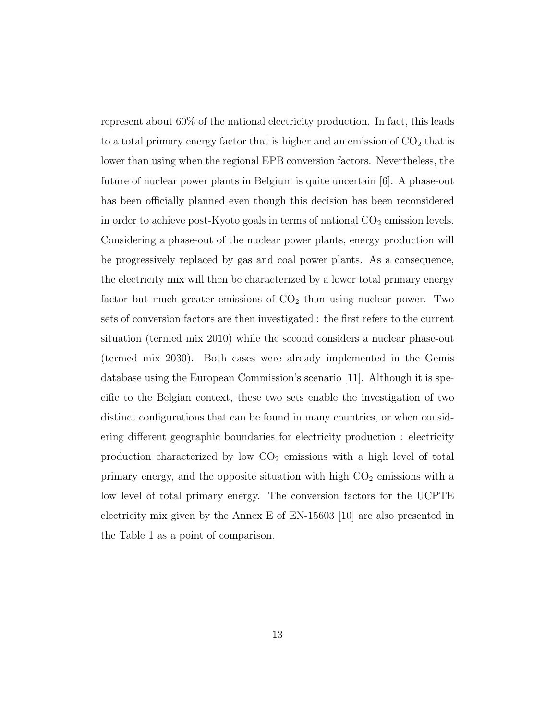represent about 60% of the national electricity production. In fact, this leads to a total primary energy factor that is higher and an emission of  $CO<sub>2</sub>$  that is lower than using when the regional EPB conversion factors. Nevertheless, the future of nuclear power plants in Belgium is quite uncertain [6]. A phase-out has been officially planned even though this decision has been reconsidered in order to achieve post-Kyoto goals in terms of national  $CO<sub>2</sub>$  emission levels. Considering a phase-out of the nuclear power plants, energy production will be progressively replaced by gas and coal power plants. As a consequence, the electricity mix will then be characterized by a lower total primary energy factor but much greater emissions of  $CO<sub>2</sub>$  than using nuclear power. Two sets of conversion factors are then investigated : the first refers to the current situation (termed mix 2010) while the second considers a nuclear phase-out (termed mix 2030). Both cases were already implemented in the Gemis database using the European Commission's scenario [11]. Although it is specific to the Belgian context, these two sets enable the investigation of two distinct configurations that can be found in many countries, or when considering different geographic boundaries for electricity production : electricity production characterized by low  $CO<sub>2</sub>$  emissions with a high level of total primary energy, and the opposite situation with high  $CO<sub>2</sub>$  emissions with a low level of total primary energy. The conversion factors for the UCPTE electricity mix given by the Annex E of EN-15603 [10] are also presented in the Table 1 as a point of comparison.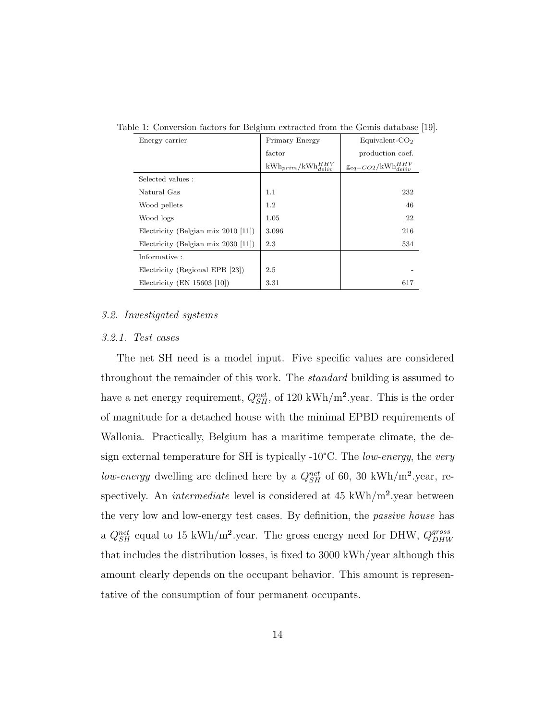| Energy carrier                        | Primary Energy                 | Equivalent- $CO2$              |
|---------------------------------------|--------------------------------|--------------------------------|
|                                       | factor                         | production coef.               |
|                                       | $kWh_{prim}/kWh_{deliv}^{HHV}$ | $g_{eq-CO2}/kWh_{deliv}^{HHV}$ |
| Selected values:                      |                                |                                |
| Natural Gas                           | 1.1                            | 232                            |
| Wood pellets                          | $1.2\,$                        | 46                             |
| Wood logs                             | 1.05                           | 22                             |
| Electricity (Belgian mix $2010$ [11]) | 3.096                          | 216                            |
| Electricity (Belgian mix $2030$ [11]) | 2.3                            | 534                            |
| Informative:                          |                                |                                |
| Electricity (Regional EPB [23])       | 2.5                            |                                |
| Electricity (EN $15603$ [10])         | 3.31                           | 617                            |

Table 1: Conversion factors for Belgium extracted from the Gemis database [19].

### 3.2. Investigated systems

# 3.2.1. Test cases

The net SH need is a model input. Five specific values are considered throughout the remainder of this work. The standard building is assumed to have a net energy requirement,  $Q_{SH}^{net}$ , of 120 kWh/m<sup>2</sup>.year. This is the order of magnitude for a detached house with the minimal EPBD requirements of Wallonia. Practically, Belgium has a maritime temperate climate, the design external temperature for SH is typically -10°C. The low-energy, the very low-energy dwelling are defined here by a  $Q_{SH}^{net}$  of 60, 30 kWh/m<sup>2</sup>.year, respectively. An *intermediate* level is considered at  $45 \text{ kWh/m}^2$  year between the very low and low-energy test cases. By definition, the passive house has a  $Q_{SH}^{net}$  equal to 15 kWh/m<sup>2</sup>.year. The gross energy need for DHW,  $Q_{DHW}^{gross}$ DHW that includes the distribution losses, is fixed to 3000 kWh/year although this amount clearly depends on the occupant behavior. This amount is representative of the consumption of four permanent occupants.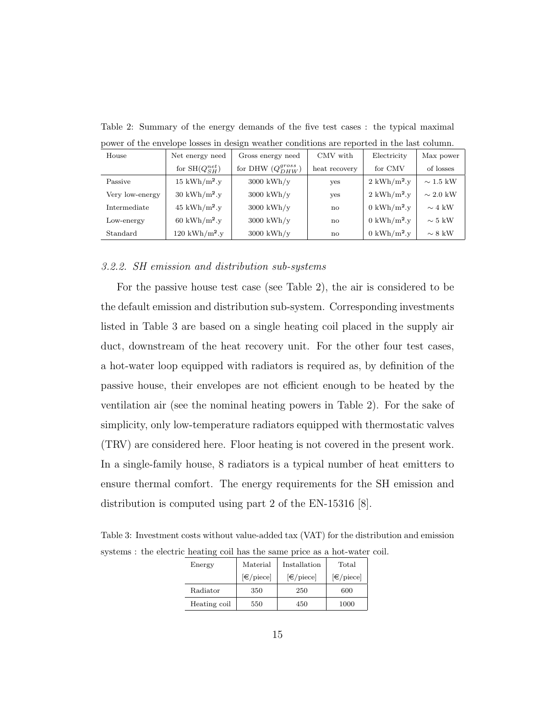| House           | Net energy need               | Gross energy need                  | CMV with      | Electricity                                      | Max power            |
|-----------------|-------------------------------|------------------------------------|---------------|--------------------------------------------------|----------------------|
|                 | for $SH(Q_{SH}^{net})$        | for DHW $(Q_{DHW}^{gross})$        | heat recovery | for CMV                                          | of losses            |
| Passive         | $15 \text{ kWh/m}^2.\text{y}$ | $3000 \frac{\text{kWh}}{\text{y}}$ | yes           | $2 \frac{\text{kWh}}{\text{m}^2}$ .y             | $\sim 1.5~\text{kW}$ |
| Very low-energy | $30 \text{ kWh/m}^2$ .        | $3000 \text{ kWh/y}$               | yes           | $2 \frac{\text{kWh}}{\text{m}^2 \cdot \text{v}}$ | $\sim 2.0~{\rm kW}$  |
| Intermediate    | $45 \text{ kWh/m}^2.\text{y}$ | $3000 \text{ kWh/y}$               | no            | $0 \text{ kWh/m}^2$ .                            | $\sim 4$ kW          |
| Low-energy      | $60 \text{ kWh/m}^2$ .y       | $3000 \text{ kWh/y}$               | no            | $0 \text{ kWh/m}^2$ .y                           | $\sim 5~\text{kW}$   |
| Standard        | $120 \text{ kWh/m}^2$ .y      | $3000 \text{ kWh/y}$               | no            | $0 \text{ kWh/m}^2$ .y                           | $\sim 8~\text{kW}$   |

Table 2: Summary of the energy demands of the five test cases : the typical maximal power of the envelope losses in design weather conditions are reported in the last column.

#### 3.2.2. SH emission and distribution sub-systems

For the passive house test case (see Table 2), the air is considered to be the default emission and distribution sub-system. Corresponding investments listed in Table 3 are based on a single heating coil placed in the supply air duct, downstream of the heat recovery unit. For the other four test cases, a hot-water loop equipped with radiators is required as, by definition of the passive house, their envelopes are not efficient enough to be heated by the ventilation air (see the nominal heating powers in Table 2). For the sake of simplicity, only low-temperature radiators equipped with thermostatic valves (TRV) are considered here. Floor heating is not covered in the present work. In a single-family house, 8 radiators is a typical number of heat emitters to ensure thermal comfort. The energy requirements for the SH emission and distribution is computed using part 2 of the EN-15316 [8].

Table 3: Investment costs without value-added tax (VAT) for the distribution and emission systems : the electric heating coil has the same price as a hot-water coil.

| Energy       | Material                 | Installation      | Total                    |  |  |  |
|--------------|--------------------------|-------------------|--------------------------|--|--|--|
|              | $\left[\in\right]$ piece | $\epsilon$ /piece | $\left[\in\right]$ piece |  |  |  |
| Radiator     | 350                      | 250               | 600                      |  |  |  |
| Heating coil | 550                      | 450               | 1000                     |  |  |  |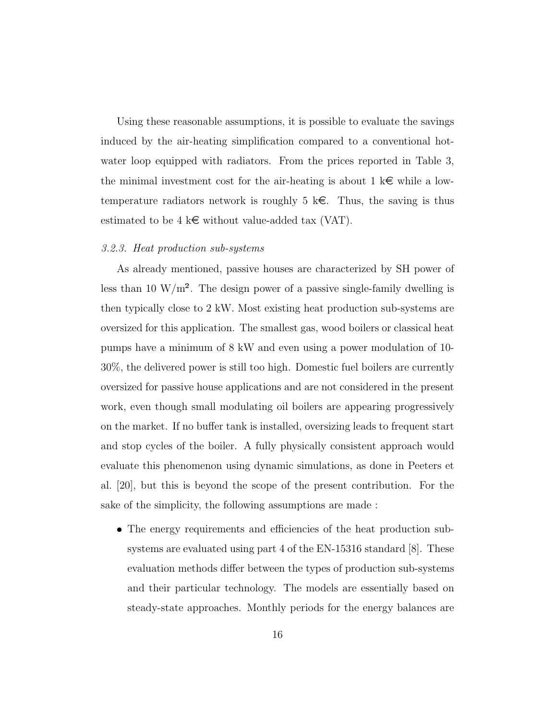Using these reasonable assumptions, it is possible to evaluate the savings induced by the air-heating simplification compared to a conventional hotwater loop equipped with radiators. From the prices reported in Table 3, the minimal investment cost for the air-heating is about 1  $k \in \mathbb{R}$  while a lowtemperature radiators network is roughly 5  $k \in \mathbb{R}$ . Thus, the saving is thus estimated to be 4 k $\epsilon$  without value-added tax (VAT).

#### 3.2.3. Heat production sub-systems

As already mentioned, passive houses are characterized by SH power of less than 10 W/m<sup>2</sup>. The design power of a passive single-family dwelling is then typically close to 2 kW. Most existing heat production sub-systems are oversized for this application. The smallest gas, wood boilers or classical heat pumps have a minimum of 8 kW and even using a power modulation of 10- 30%, the delivered power is still too high. Domestic fuel boilers are currently oversized for passive house applications and are not considered in the present work, even though small modulating oil boilers are appearing progressively on the market. If no buffer tank is installed, oversizing leads to frequent start and stop cycles of the boiler. A fully physically consistent approach would evaluate this phenomenon using dynamic simulations, as done in Peeters et al. [20], but this is beyond the scope of the present contribution. For the sake of the simplicity, the following assumptions are made :

 The energy requirements and efficiencies of the heat production subsystems are evaluated using part 4 of the EN-15316 standard [8]. These evaluation methods differ between the types of production sub-systems and their particular technology. The models are essentially based on steady-state approaches. Monthly periods for the energy balances are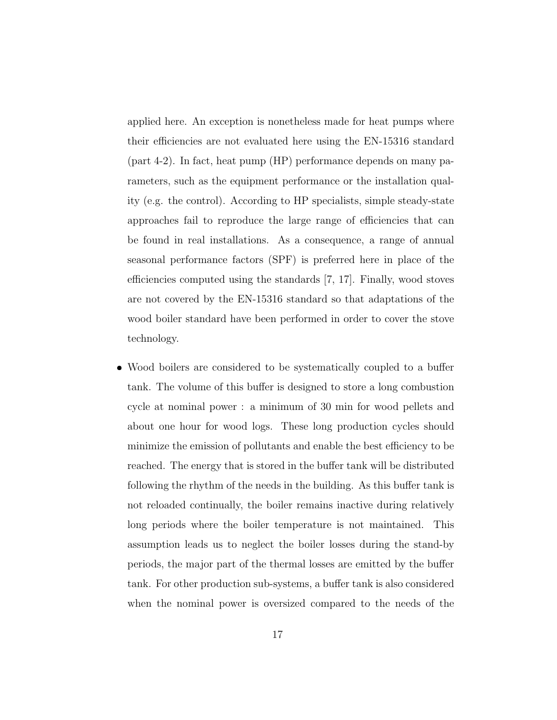applied here. An exception is nonetheless made for heat pumps where their efficiencies are not evaluated here using the EN-15316 standard (part 4-2). In fact, heat pump (HP) performance depends on many parameters, such as the equipment performance or the installation quality (e.g. the control). According to HP specialists, simple steady-state approaches fail to reproduce the large range of efficiencies that can be found in real installations. As a consequence, a range of annual seasonal performance factors (SPF) is preferred here in place of the efficiencies computed using the standards [7, 17]. Finally, wood stoves are not covered by the EN-15316 standard so that adaptations of the wood boiler standard have been performed in order to cover the stove technology.

 Wood boilers are considered to be systematically coupled to a buffer tank. The volume of this buffer is designed to store a long combustion cycle at nominal power : a minimum of 30 min for wood pellets and about one hour for wood logs. These long production cycles should minimize the emission of pollutants and enable the best efficiency to be reached. The energy that is stored in the buffer tank will be distributed following the rhythm of the needs in the building. As this buffer tank is not reloaded continually, the boiler remains inactive during relatively long periods where the boiler temperature is not maintained. This assumption leads us to neglect the boiler losses during the stand-by periods, the major part of the thermal losses are emitted by the buffer tank. For other production sub-systems, a buffer tank is also considered when the nominal power is oversized compared to the needs of the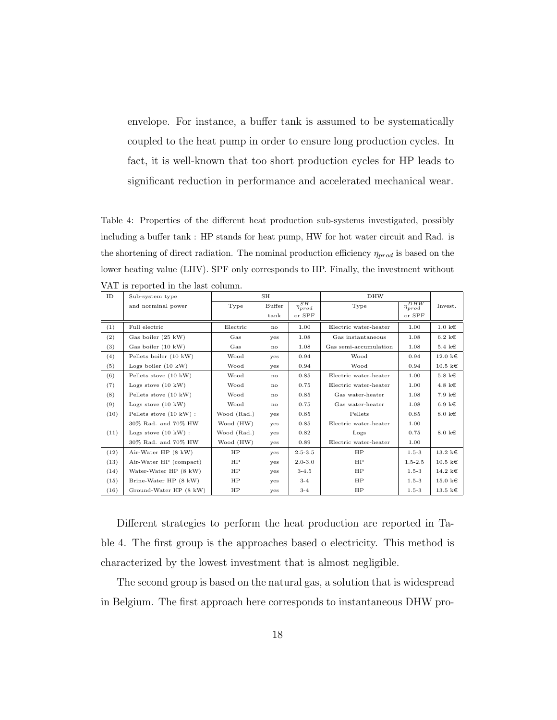envelope. For instance, a buffer tank is assumed to be systematically coupled to the heat pump in order to ensure long production cycles. In fact, it is well-known that too short production cycles for HP leads to significant reduction in performance and accelerated mechanical wear.

Table 4: Properties of the different heat production sub-systems investigated, possibly including a buffer tank : HP stands for heat pump, HW for hot water circuit and Rad. is the shortening of direct radiation. The nominal production efficiency  $\eta_{prod}$  is based on the lower heating value (LHV). SPF only corresponds to HP. Finally, the investment without VAT is reported in the last column.

| ID   | Sub-system type                |             | <b>SH</b> |                               | <b>DHW</b>            |                     |                           |
|------|--------------------------------|-------------|-----------|-------------------------------|-----------------------|---------------------|---------------------------|
|      | and norminal power             | Type        | Buffer    | $\overline{\eta_{prod}^{SH}}$ | Type                  | $\eta_{prod}^{DHW}$ | Invest.                   |
|      |                                |             | tank      | or SPF                        |                       | or SPF              |                           |
| (1)  | Full electric                  | Electric    | no        | 1.00                          | Electric water-heater | 1.00                | $1.0 \text{ } k \in$      |
| (2)  | Gas boiler (25 kW)             | Gas         | yes       | 1.08                          | Gas instantaneous     | 1.08                | $6.2 \text{ } k \in$      |
| (3)  | Gas boiler (10 kW)             | Gas         | no        | 1.08                          | Gas semi-accumulation | 1.08                | 5.4 k $\in$               |
| (4)  | Pellets boiler (10 kW)         | Wood        | yes       | 0.94                          | Wood                  | 0.94                | $12.0 \text{ } k \in$     |
| (5)  | Logs boiler $(10 \text{ kW})$  | Wood        | yes       | 0.94                          | Wood                  | 0.94                | $10.5 \text{ } k \in$     |
| (6)  | Pellets stove (10 kW)          | Wood        | no        | 0.85                          | Electric water-heater | 1.00                | $5.8 \; \mathrm{k} \in$   |
| (7)  | Logs stove $(10 \text{ kW})$   | Wood        | no        | 0.75                          | Electric water-heater | 1.00                | 4.8 k $\in$               |
| (8)  | Pellets stove (10 kW)          | Wood        | no        | 0.85                          | Gas water-heater      | 1.08                | 7.9 k€                    |
| (9)  | Logs stove $(10 \text{ kW})$   | Wood        | no        | 0.75                          | Gas water-heater      | 1.08                | 6.9 k $\in$               |
| (10) | Pellets stove (10 kW) :        | Wood (Rad.) | yes       | 0.85                          | Pellets               | 0.85                | $8.0 \text{ } k \in$      |
|      | 30% Rad. and 70% HW            | Wood (HW)   | yes       | 0.85                          | Electric water-heater | 1.00                |                           |
| (11) | Logs stove $(10 \text{ kW})$ : | Wood (Rad.) | yes       | 0.82                          | Logs                  | 0.75                | $8.0 \text{ k} \in$       |
|      | 30% Rad. and 70% HW            | Wood (HW)   | yes       | 0.89                          | Electric water-heater | 1.00                |                           |
| (12) | Air-Water HP (8 kW)            | HP          | yes       | $2.5 - 3.5$                   | HP                    | $1.5 - 3$           | $13.2 \text{ } \text{kg}$ |
| (13) | Air-Water HP (compact)         | HP          | yes       | $2.0 - 3.0$                   | HP                    | $1.5 - 2.5$         | $10.5 \; \mathrm{ke}$     |
| (14) | Water-Water HP (8 kW)          | HP          | yes       | $3 - 4.5$                     | HP                    | $1.5 - 3$           | 14.2 k $\in$              |
| (15) | Brine-Water HP (8 kW)          | HP          | yes       | $3-4$                         | HP                    | $1.5 - 3$           | $15.0 \text{ ke}$         |
| (16) | Ground-Water HP (8 kW)         | HP          | yes       | $3-4$                         | HP                    | $1.5 - 3$           | $13.5 \; \mathrm{k} \in$  |

Different strategies to perform the heat production are reported in Table 4. The first group is the approaches based o electricity. This method is characterized by the lowest investment that is almost negligible.

The second group is based on the natural gas, a solution that is widespread in Belgium. The first approach here corresponds to instantaneous DHW pro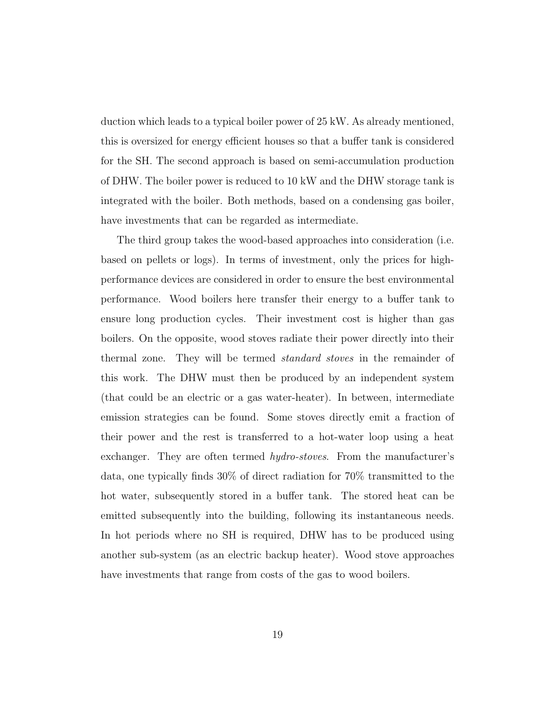duction which leads to a typical boiler power of 25 kW. As already mentioned, this is oversized for energy efficient houses so that a buffer tank is considered for the SH. The second approach is based on semi-accumulation production of DHW. The boiler power is reduced to 10 kW and the DHW storage tank is integrated with the boiler. Both methods, based on a condensing gas boiler, have investments that can be regarded as intermediate.

The third group takes the wood-based approaches into consideration (i.e. based on pellets or logs). In terms of investment, only the prices for highperformance devices are considered in order to ensure the best environmental performance. Wood boilers here transfer their energy to a buffer tank to ensure long production cycles. Their investment cost is higher than gas boilers. On the opposite, wood stoves radiate their power directly into their thermal zone. They will be termed standard stoves in the remainder of this work. The DHW must then be produced by an independent system (that could be an electric or a gas water-heater). In between, intermediate emission strategies can be found. Some stoves directly emit a fraction of their power and the rest is transferred to a hot-water loop using a heat exchanger. They are often termed *hydro-stoves*. From the manufacturer's data, one typically finds 30% of direct radiation for 70% transmitted to the hot water, subsequently stored in a buffer tank. The stored heat can be emitted subsequently into the building, following its instantaneous needs. In hot periods where no SH is required, DHW has to be produced using another sub-system (as an electric backup heater). Wood stove approaches have investments that range from costs of the gas to wood boilers.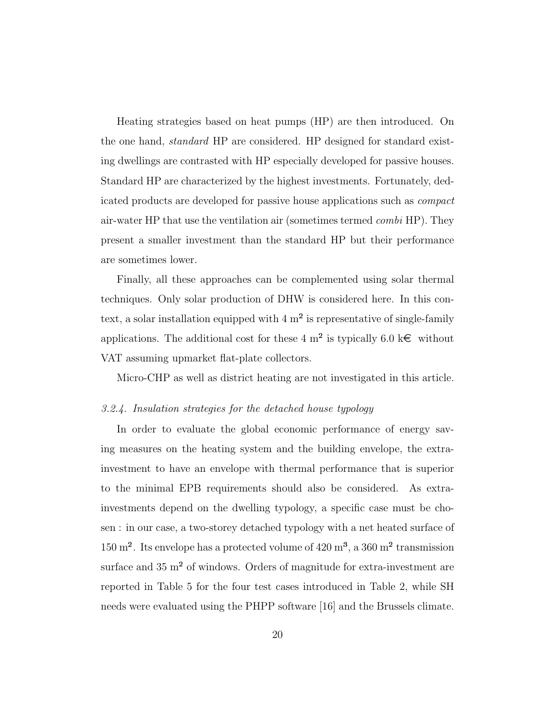Heating strategies based on heat pumps (HP) are then introduced. On the one hand, standard HP are considered. HP designed for standard existing dwellings are contrasted with HP especially developed for passive houses. Standard HP are characterized by the highest investments. Fortunately, dedicated products are developed for passive house applications such as compact air-water HP that use the ventilation air (sometimes termed combi HP). They present a smaller investment than the standard HP but their performance are sometimes lower.

Finally, all these approaches can be complemented using solar thermal techniques. Only solar production of DHW is considered here. In this context, a solar installation equipped with  $4 \text{ m}^2$  is representative of single-family applications. The additional cost for these 4 m<sup>2</sup> is typically 6.0 k $\epsilon$  without VAT assuming upmarket flat-plate collectors.

Micro-CHP as well as district heating are not investigated in this article.

#### 3.2.4. Insulation strategies for the detached house typology

In order to evaluate the global economic performance of energy saving measures on the heating system and the building envelope, the extrainvestment to have an envelope with thermal performance that is superior to the minimal EPB requirements should also be considered. As extrainvestments depend on the dwelling typology, a specific case must be chosen : in our case, a two-storey detached typology with a net heated surface of  $150 \text{ m}^2$ . Its envelope has a protected volume of  $420 \text{ m}^3$ , a  $360 \text{ m}^2$  transmission surface and  $35 \text{ m}^2$  of windows. Orders of magnitude for extra-investment are reported in Table 5 for the four test cases introduced in Table 2, while SH needs were evaluated using the PHPP software [16] and the Brussels climate.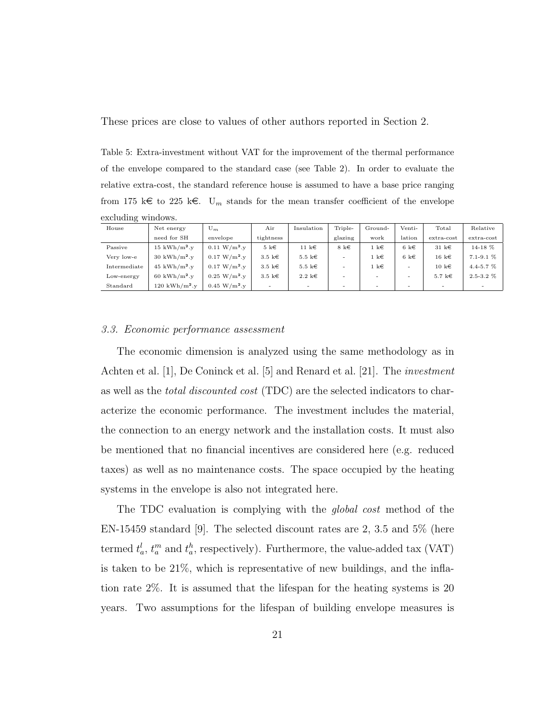These prices are close to values of other authors reported in Section 2.

Table 5: Extra-investment without VAT for the improvement of the thermal performance of the envelope compared to the standard case (see Table 2). In order to evaluate the relative extra-cost, the standard reference house is assumed to have a base price ranging from 175 k $\epsilon$  to 225 k $\epsilon$ . U<sub>m</sub> stands for the mean transfer coefficient of the envelope excluding windows.

| House        | Net energy              | $U_m$                     | Air                      | Insulation               | Triple-   | Ground-               | Venti-    | Total                  | Relative       |  |
|--------------|-------------------------|---------------------------|--------------------------|--------------------------|-----------|-----------------------|-----------|------------------------|----------------|--|
|              | need for SH             | envelope                  | tightness                |                          | glazing   | work                  | lation    | $extra-cost$           | $extra-cost$   |  |
| Passive      | $15 \text{ kWh/m}^2$ .y | $0.11 W/m^2$ .y           | $5 \; \mathrm{k} \in$    | 11 k $\in$               | 8 k $\in$ | $1 \; \mathrm{k} \in$ | 6 k $\in$ | $31 \text{ } k \in$    | $14-18$ %      |  |
| Very low-e   | $30 \text{ kWh/m}^2$ .  | $0.17 \text{ W/m}^2$ . v  | $3.5 \; \mathrm{k} \in$  | 5.5 k $\in$              | $\sim$    | $1 \; \mathrm{k} \in$ | 6 k $\in$ | $16 \; \mathrm{k} \in$ | $7.1 - 9.1\%$  |  |
| Intermediate | $45 \text{ kWh/m}^2$ .  | $0.17 \text{ W/m}^2$ .y   | $3.5 \; \mathrm{k} \in$  | $5.5 \; \mathrm{k} \in$  | $\sim$    | $1 \; \mathrm{k} \in$ | $\sim$    | $10 \text{ } k \in$    | $4.4 - 5.7 %$  |  |
| Low-energy   | $60 \text{ kWh/m}^2$ .  | $0.25 \,\mathrm{W/m^2.v}$ | $3.5 \; \mathrm{k} \in$  | $2.2 \text{ } \text{kg}$ | $\sim$    | $\sim$                | $\sim$    | 5.7 k $\in$            | $2.5 - 3.2 \%$ |  |
| Standard     | $120 \text{ kWh/m}^2$ . | $0.45 \,\mathrm{W/m^2.v}$ | $\overline{\phantom{0}}$ | $\overline{\phantom{0}}$ | $\sim$    | $\sim$                | -         |                        |                |  |

## 3.3. Economic performance assessment

The economic dimension is analyzed using the same methodology as in Achten et al. [1], De Coninck et al. [5] and Renard et al. [21]. The investment as well as the total discounted cost (TDC) are the selected indicators to characterize the economic performance. The investment includes the material, the connection to an energy network and the installation costs. It must also be mentioned that no financial incentives are considered here (e.g. reduced taxes) as well as no maintenance costs. The space occupied by the heating systems in the envelope is also not integrated here.

The TDC evaluation is complying with the global cost method of the EN-15459 standard [9]. The selected discount rates are 2, 3.5 and 5% (here termed  $t_a^l$ ,  $t_a^m$  and  $t_a^h$ , respectively). Furthermore, the value-added tax (VAT) is taken to be 21%, which is representative of new buildings, and the inflation rate 2%. It is assumed that the lifespan for the heating systems is 20 years. Two assumptions for the lifespan of building envelope measures is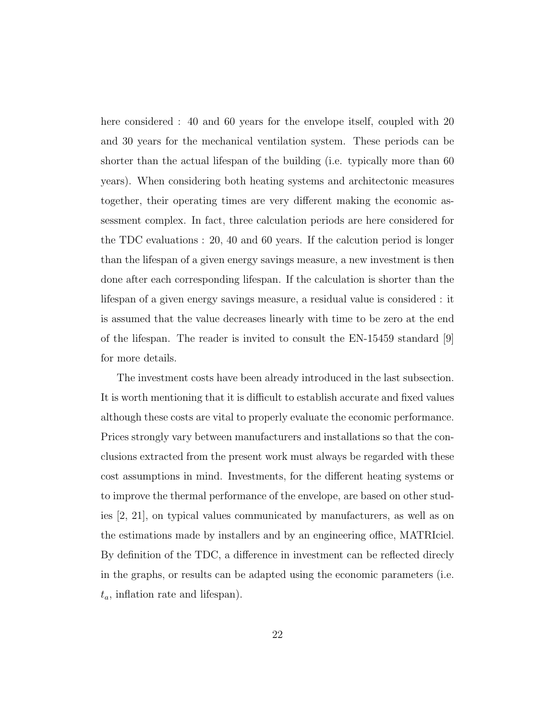here considered : 40 and 60 years for the envelope itself, coupled with 20 and 30 years for the mechanical ventilation system. These periods can be shorter than the actual lifespan of the building (i.e. typically more than 60 years). When considering both heating systems and architectonic measures together, their operating times are very different making the economic assessment complex. In fact, three calculation periods are here considered for the TDC evaluations : 20, 40 and 60 years. If the calcution period is longer than the lifespan of a given energy savings measure, a new investment is then done after each corresponding lifespan. If the calculation is shorter than the lifespan of a given energy savings measure, a residual value is considered : it is assumed that the value decreases linearly with time to be zero at the end of the lifespan. The reader is invited to consult the EN-15459 standard [9] for more details.

The investment costs have been already introduced in the last subsection. It is worth mentioning that it is difficult to establish accurate and fixed values although these costs are vital to properly evaluate the economic performance. Prices strongly vary between manufacturers and installations so that the conclusions extracted from the present work must always be regarded with these cost assumptions in mind. Investments, for the different heating systems or to improve the thermal performance of the envelope, are based on other studies [2, 21], on typical values communicated by manufacturers, as well as on the estimations made by installers and by an engineering office, MATRIciel. By definition of the TDC, a difference in investment can be reflected direcly in the graphs, or results can be adapted using the economic parameters (i.e.  $t_a$ , inflation rate and lifespan).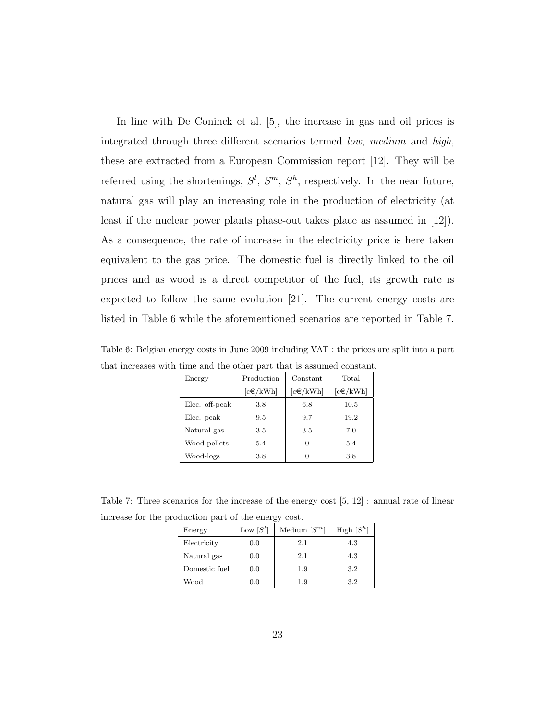In line with De Coninck et al. [5], the increase in gas and oil prices is integrated through three different scenarios termed low, medium and high, these are extracted from a European Commission report [12]. They will be referred using the shortenings,  $S^l$ ,  $S^m$ ,  $S^h$ , respectively. In the near future, natural gas will play an increasing role in the production of electricity (at least if the nuclear power plants phase-out takes place as assumed in [12]). As a consequence, the rate of increase in the electricity price is here taken equivalent to the gas price. The domestic fuel is directly linked to the oil prices and as wood is a direct competitor of the fuel, its growth rate is expected to follow the same evolution [21]. The current energy costs are listed in Table 6 while the aforementioned scenarios are reported in Table 7.

| Energy         | Production     | Constant       | Total          |
|----------------|----------------|----------------|----------------|
|                | $[c \in /kWh]$ | $[c \in /kWh]$ | $[c \in /kWh]$ |
| Elec. off-peak | 3.8            | 6.8            | 10.5           |
| Elec. peak     | 9.5            | 9.7            | 19.2           |
| Natural gas    | 3.5            | 3.5            | 7.0            |
| Wood-pellets   | 5.4            |                | 5.4            |
| Wood-logs      | 3.8            |                | 3.8            |

Table 6: Belgian energy costs in June 2009 including VAT : the prices are split into a part that increases with time and the other part that is assumed constant.

Table 7: Three scenarios for the increase of the energy cost [5, 12] : annual rate of linear increase for the production part of the energy cost.

| Energy        | Low $[S^l]$ | Medium $[S^m]$ | High $[S^h]$ |
|---------------|-------------|----------------|--------------|
| Electricity   | 0.0         | 2.1            | 4.3          |
| Natural gas   | 0.0         | 2.1            | 4.3          |
| Domestic fuel | 0.0         | 1.9            | 3.2          |
| Wood          | 0.0         | 1.9            | 3.2          |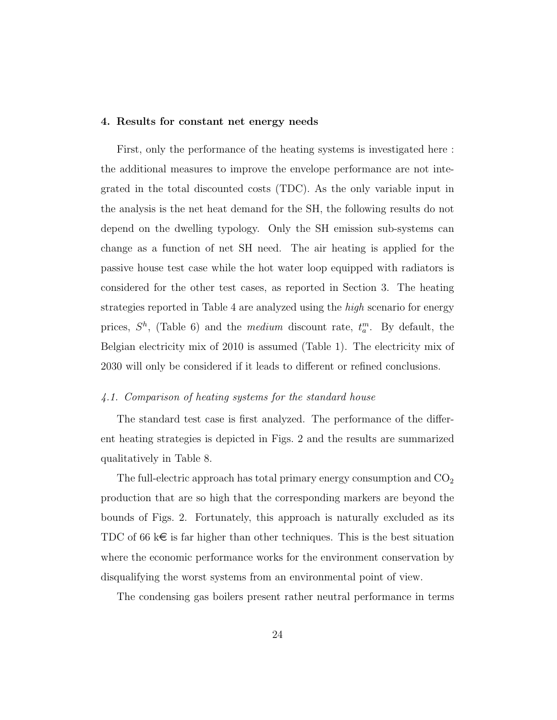#### 4. Results for constant net energy needs

First, only the performance of the heating systems is investigated here : the additional measures to improve the envelope performance are not integrated in the total discounted costs (TDC). As the only variable input in the analysis is the net heat demand for the SH, the following results do not depend on the dwelling typology. Only the SH emission sub-systems can change as a function of net SH need. The air heating is applied for the passive house test case while the hot water loop equipped with radiators is considered for the other test cases, as reported in Section 3. The heating strategies reported in Table 4 are analyzed using the high scenario for energy prices,  $S^h$ , (Table 6) and the *medium* discount rate,  $t_a^m$ . By default, the Belgian electricity mix of 2010 is assumed (Table 1). The electricity mix of 2030 will only be considered if it leads to different or refined conclusions.

# 4.1. Comparison of heating systems for the standard house

The standard test case is first analyzed. The performance of the different heating strategies is depicted in Figs. 2 and the results are summarized qualitatively in Table 8.

The full-electric approach has total primary energy consumption and  $CO<sub>2</sub>$ production that are so high that the corresponding markers are beyond the bounds of Figs. 2. Fortunately, this approach is naturally excluded as its TDC of 66 k $\epsilon$  is far higher than other techniques. This is the best situation where the economic performance works for the environment conservation by disqualifying the worst systems from an environmental point of view.

The condensing gas boilers present rather neutral performance in terms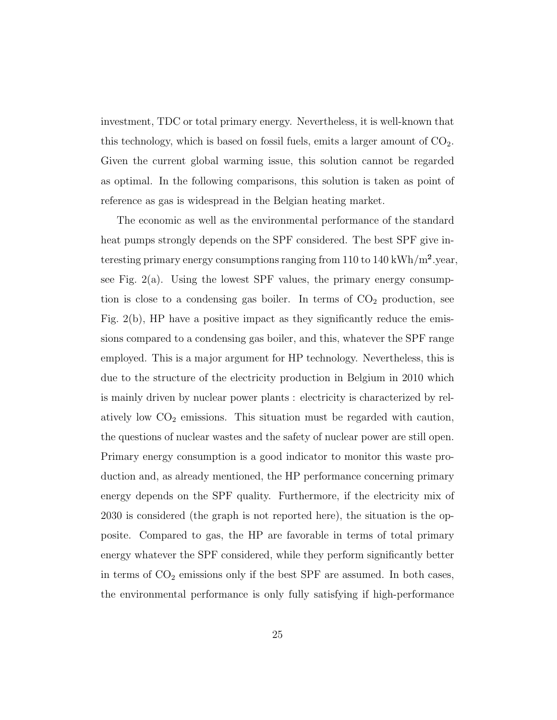investment, TDC or total primary energy. Nevertheless, it is well-known that this technology, which is based on fossil fuels, emits a larger amount of  $CO<sub>2</sub>$ . Given the current global warming issue, this solution cannot be regarded as optimal. In the following comparisons, this solution is taken as point of reference as gas is widespread in the Belgian heating market.

The economic as well as the environmental performance of the standard heat pumps strongly depends on the SPF considered. The best SPF give interesting primary energy consumptions ranging from 110 to 140 kWh/m<sup>2</sup>.year, see Fig.  $2(a)$ . Using the lowest SPF values, the primary energy consumption is close to a condensing gas boiler. In terms of  $CO<sub>2</sub>$  production, see Fig. 2(b), HP have a positive impact as they significantly reduce the emissions compared to a condensing gas boiler, and this, whatever the SPF range employed. This is a major argument for HP technology. Nevertheless, this is due to the structure of the electricity production in Belgium in 2010 which is mainly driven by nuclear power plants : electricity is characterized by relatively low  $CO<sub>2</sub>$  emissions. This situation must be regarded with caution, the questions of nuclear wastes and the safety of nuclear power are still open. Primary energy consumption is a good indicator to monitor this waste production and, as already mentioned, the HP performance concerning primary energy depends on the SPF quality. Furthermore, if the electricity mix of 2030 is considered (the graph is not reported here), the situation is the opposite. Compared to gas, the HP are favorable in terms of total primary energy whatever the SPF considered, while they perform significantly better in terms of  $CO<sub>2</sub>$  emissions only if the best SPF are assumed. In both cases, the environmental performance is only fully satisfying if high-performance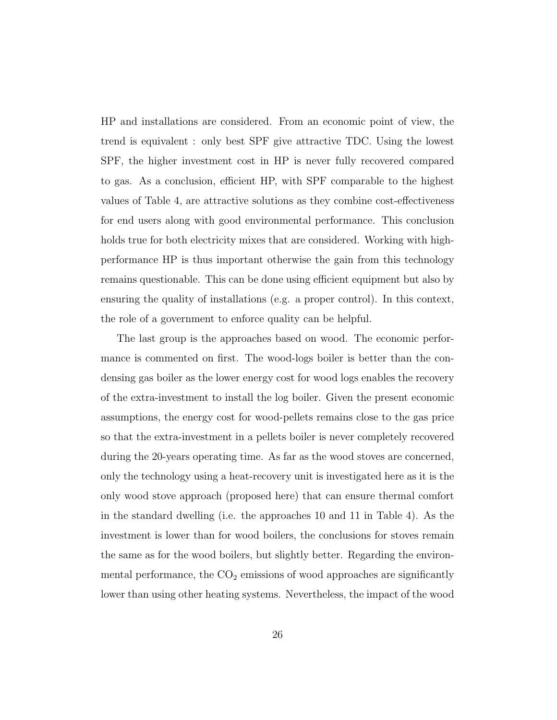HP and installations are considered. From an economic point of view, the trend is equivalent : only best SPF give attractive TDC. Using the lowest SPF, the higher investment cost in HP is never fully recovered compared to gas. As a conclusion, efficient HP, with SPF comparable to the highest values of Table 4, are attractive solutions as they combine cost-effectiveness for end users along with good environmental performance. This conclusion holds true for both electricity mixes that are considered. Working with highperformance HP is thus important otherwise the gain from this technology remains questionable. This can be done using efficient equipment but also by ensuring the quality of installations (e.g. a proper control). In this context, the role of a government to enforce quality can be helpful.

The last group is the approaches based on wood. The economic performance is commented on first. The wood-logs boiler is better than the condensing gas boiler as the lower energy cost for wood logs enables the recovery of the extra-investment to install the log boiler. Given the present economic assumptions, the energy cost for wood-pellets remains close to the gas price so that the extra-investment in a pellets boiler is never completely recovered during the 20-years operating time. As far as the wood stoves are concerned, only the technology using a heat-recovery unit is investigated here as it is the only wood stove approach (proposed here) that can ensure thermal comfort in the standard dwelling (i.e. the approaches 10 and 11 in Table 4). As the investment is lower than for wood boilers, the conclusions for stoves remain the same as for the wood boilers, but slightly better. Regarding the environmental performance, the  $CO<sub>2</sub>$  emissions of wood approaches are significantly lower than using other heating systems. Nevertheless, the impact of the wood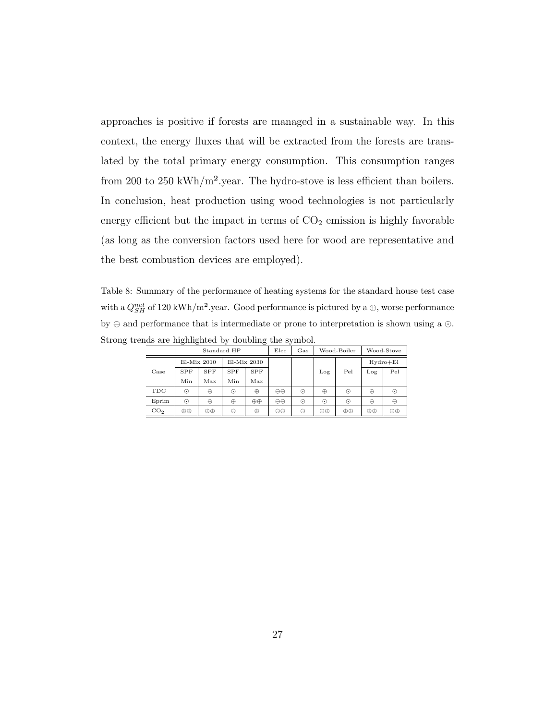approaches is positive if forests are managed in a sustainable way. In this context, the energy fluxes that will be extracted from the forests are translated by the total primary energy consumption. This consumption ranges from 200 to 250 kWh/m².year. The hydro-stove is less efficient than boilers. In conclusion, heat production using wood technologies is not particularly energy efficient but the impact in terms of  $CO<sub>2</sub>$  emission is highly favorable (as long as the conversion factors used here for wood are representative and the best combustion devices are employed).

Table 8: Summary of the performance of heating systems for the standard house test case with a  $Q_{SH}^{net}$  of 120 kWh/m<sup>2</sup>.year. Good performance is pictured by a ⊕, worse performance by  $\ominus$  and performance that is intermediate or prone to interpretation is shown using a  $\odot$ . Strong trends are highlighted by doubling the symbol.

|                 |            | Standard HP   |            |             | Elec              | Gas     |          | Wood-Boiler | Wood-Stove      |              |  |
|-----------------|------------|---------------|------------|-------------|-------------------|---------|----------|-------------|-----------------|--------------|--|
|                 |            | $E1-Mix$ 2010 |            | El-Mix 2030 |                   |         |          |             |                 | $Hydro + El$ |  |
| Case            | <b>SPF</b> | <b>SPF</b>    | <b>SPF</b> | <b>SPF</b>  |                   |         | Log      | Pel         | Log             | Pel          |  |
|                 | Min        | Max           | Min        | Max         |                   |         |          |             |                 |              |  |
| TDC             | $\odot$    | ⊕             | ⊙          | $\oplus$    |                   | $\odot$ | ⊕        | ⊙           | ⊕               | $\odot$      |  |
| Eprim           | $_{\odot}$ | ⊕             | $\oplus$   | $\oplus$    | $\Theta$ $\Theta$ | $\odot$ | ⊙        | $_{\odot}$  | Θ               | ⊖            |  |
| CO <sub>2</sub> | $\oplus$   | ⊕⊕            | Θ          | $\oplus$    | $\Theta$ $\Theta$ | Θ       | $\oplus$ | $\oplus$    | $\oplus \oplus$ | $\oplus$     |  |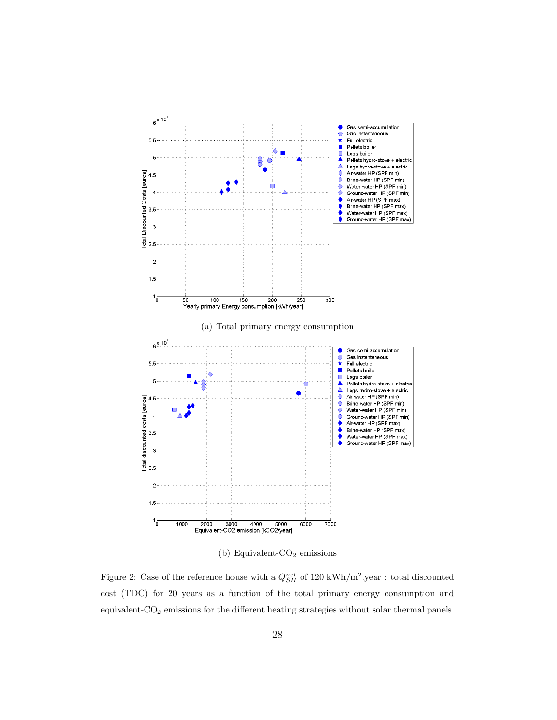

(b) Equivalent- $CO<sub>2</sub>$  emissions

Figure 2: Case of the reference house with a  $Q_{SH}^{net}$  of 120 kWh/m<sup>2</sup>.year : total discounted cost (TDC) for 20 years as a function of the total primary energy consumption and equivalent-CO<sub>2</sub> emissions for the different heating strategies without solar thermal panels.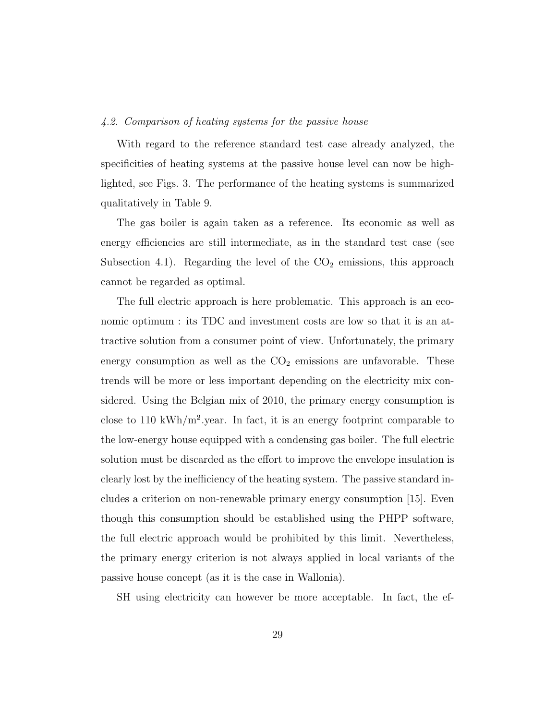#### 4.2. Comparison of heating systems for the passive house

With regard to the reference standard test case already analyzed, the specificities of heating systems at the passive house level can now be highlighted, see Figs. 3. The performance of the heating systems is summarized qualitatively in Table 9.

The gas boiler is again taken as a reference. Its economic as well as energy efficiencies are still intermediate, as in the standard test case (see Subsection 4.1). Regarding the level of the  $CO<sub>2</sub>$  emissions, this approach cannot be regarded as optimal.

The full electric approach is here problematic. This approach is an economic optimum : its TDC and investment costs are low so that it is an attractive solution from a consumer point of view. Unfortunately, the primary energy consumption as well as the  $CO<sub>2</sub>$  emissions are unfavorable. These trends will be more or less important depending on the electricity mix considered. Using the Belgian mix of 2010, the primary energy consumption is close to 110 kWh/m<sup>2</sup>.year. In fact, it is an energy footprint comparable to the low-energy house equipped with a condensing gas boiler. The full electric solution must be discarded as the effort to improve the envelope insulation is clearly lost by the inefficiency of the heating system. The passive standard includes a criterion on non-renewable primary energy consumption [15]. Even though this consumption should be established using the PHPP software, the full electric approach would be prohibited by this limit. Nevertheless, the primary energy criterion is not always applied in local variants of the passive house concept (as it is the case in Wallonia).

SH using electricity can however be more acceptable. In fact, the ef-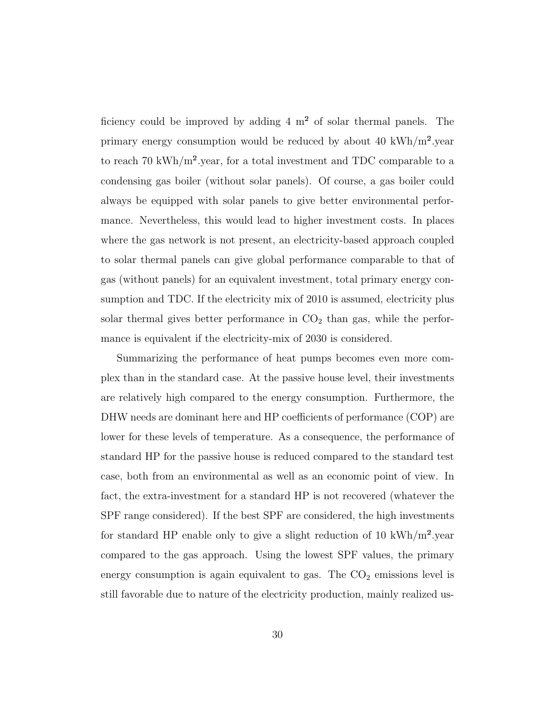ficiency could be improved by adding  $4 \text{ m}^2$  of solar thermal panels. The primary energy consumption would be reduced by about 40 kWh/m<sup>2</sup>.year to reach 70 kWh/m<sup>2</sup> year, for a total investment and TDC comparable to a condensing gas boiler (without solar panels). Of course, a gas boiler could always be equipped with solar panels to give better environmental performance. Nevertheless, this would lead to higher investment costs. In places where the gas network is not present, an electricity-based approach coupled to solar thermal panels can give global performance comparable to that of gas (without panels) for an equivalent investment, total primary energy consumption and TDC. If the electricity mix of 2010 is assumed, electricity plus solar thermal gives better performance in  $CO<sub>2</sub>$  than gas, while the performance is equivalent if the electricity-mix of 2030 is considered.

Summarizing the performance of heat pumps becomes even more complex than in the standard case. At the passive house level, their investments are relatively high compared to the energy consumption. Furthermore, the DHW needs are dominant here and HP coefficients of performance (COP) are lower for these levels of temperature. As a consequence, the performance of standard HP for the passive house is reduced compared to the standard test case, both from an environmental as well as an economic point of view. In fact, the extra-investment for a standard HP is not recovered (whatever the SPF range considered). If the best SPF are considered, the high investments for standard HP enable only to give a slight reduction of 10 kWh/m<sup>2</sup> year compared to the gas approach. Using the lowest SPF values, the primary energy consumption is again equivalent to gas. The  $CO<sub>2</sub>$  emissions level is still favorable due to nature of the electricity production, mainly realized us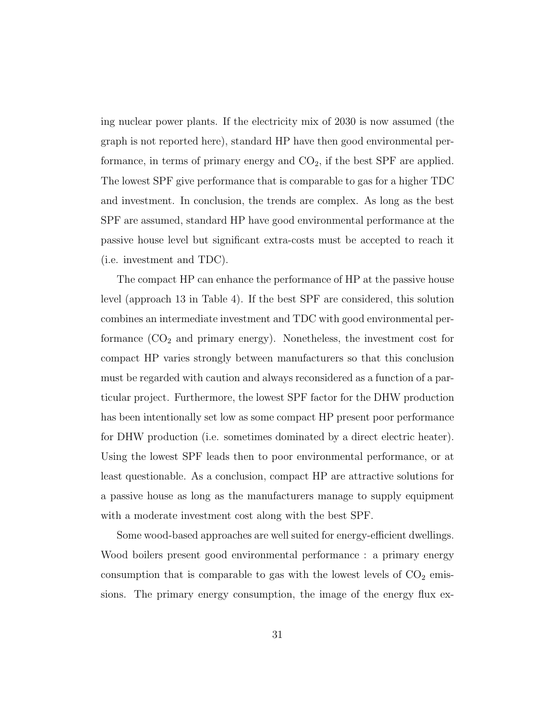ing nuclear power plants. If the electricity mix of 2030 is now assumed (the graph is not reported here), standard HP have then good environmental performance, in terms of primary energy and  $CO<sub>2</sub>$ , if the best SPF are applied. The lowest SPF give performance that is comparable to gas for a higher TDC and investment. In conclusion, the trends are complex. As long as the best SPF are assumed, standard HP have good environmental performance at the passive house level but significant extra-costs must be accepted to reach it (i.e. investment and TDC).

The compact HP can enhance the performance of HP at the passive house level (approach 13 in Table 4). If the best SPF are considered, this solution combines an intermediate investment and TDC with good environmental performance  $(CO<sub>2</sub>$  and primary energy). Nonetheless, the investment cost for compact HP varies strongly between manufacturers so that this conclusion must be regarded with caution and always reconsidered as a function of a particular project. Furthermore, the lowest SPF factor for the DHW production has been intentionally set low as some compact HP present poor performance for DHW production (i.e. sometimes dominated by a direct electric heater). Using the lowest SPF leads then to poor environmental performance, or at least questionable. As a conclusion, compact HP are attractive solutions for a passive house as long as the manufacturers manage to supply equipment with a moderate investment cost along with the best SPF.

Some wood-based approaches are well suited for energy-efficient dwellings. Wood boilers present good environmental performance : a primary energy consumption that is comparable to gas with the lowest levels of  $CO<sub>2</sub>$  emissions. The primary energy consumption, the image of the energy flux ex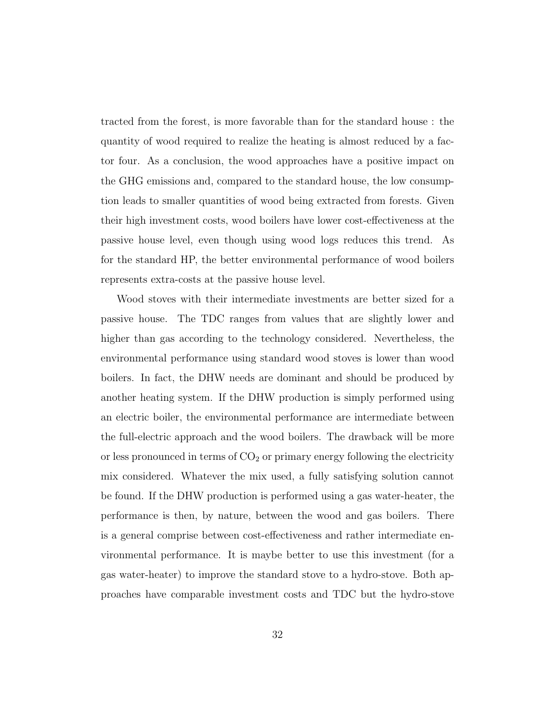tracted from the forest, is more favorable than for the standard house : the quantity of wood required to realize the heating is almost reduced by a factor four. As a conclusion, the wood approaches have a positive impact on the GHG emissions and, compared to the standard house, the low consumption leads to smaller quantities of wood being extracted from forests. Given their high investment costs, wood boilers have lower cost-effectiveness at the passive house level, even though using wood logs reduces this trend. As for the standard HP, the better environmental performance of wood boilers represents extra-costs at the passive house level.

Wood stoves with their intermediate investments are better sized for a passive house. The TDC ranges from values that are slightly lower and higher than gas according to the technology considered. Nevertheless, the environmental performance using standard wood stoves is lower than wood boilers. In fact, the DHW needs are dominant and should be produced by another heating system. If the DHW production is simply performed using an electric boiler, the environmental performance are intermediate between the full-electric approach and the wood boilers. The drawback will be more or less pronounced in terms of  $CO<sub>2</sub>$  or primary energy following the electricity mix considered. Whatever the mix used, a fully satisfying solution cannot be found. If the DHW production is performed using a gas water-heater, the performance is then, by nature, between the wood and gas boilers. There is a general comprise between cost-effectiveness and rather intermediate environmental performance. It is maybe better to use this investment (for a gas water-heater) to improve the standard stove to a hydro-stove. Both approaches have comparable investment costs and TDC but the hydro-stove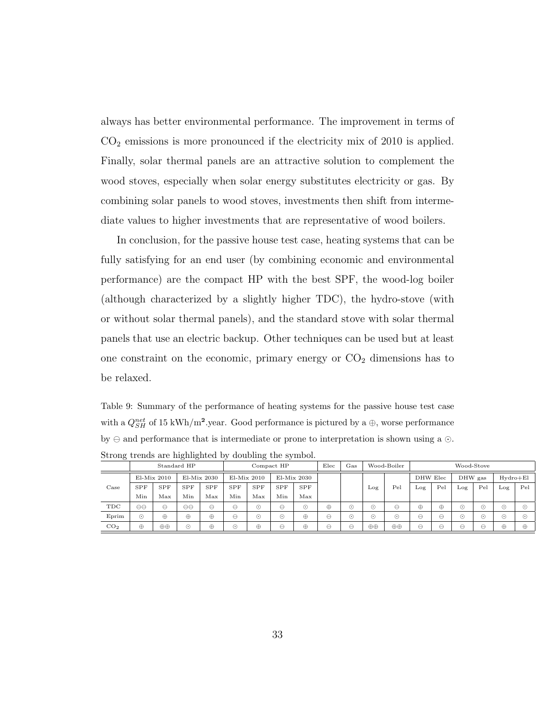always has better environmental performance. The improvement in terms of  $CO<sub>2</sub>$  emissions is more pronounced if the electricity mix of 2010 is applied. Finally, solar thermal panels are an attractive solution to complement the wood stoves, especially when solar energy substitutes electricity or gas. By combining solar panels to wood stoves, investments then shift from intermediate values to higher investments that are representative of wood boilers.

In conclusion, for the passive house test case, heating systems that can be fully satisfying for an end user (by combining economic and environmental performance) are the compact HP with the best SPF, the wood-log boiler (although characterized by a slightly higher TDC), the hydro-stove (with or without solar thermal panels), and the standard stove with solar thermal panels that use an electric backup. Other techniques can be used but at least one constraint on the economic, primary energy or  $CO<sub>2</sub>$  dimensions has to be relaxed.

Table 9: Summary of the performance of heating systems for the passive house test case with a  $Q_{SH}^{net}$  of 15 kWh/m<sup>2</sup>.year. Good performance is pictured by a  $\oplus$ , worse performance by  $\ominus$  and performance that is intermediate or prone to interpretation is shown using a  $\odot$ . Strong trends are highlighted by doubling the symbol.

|                 |                   |               | Standard HP |             | Compact HP                  |                |                   | Elec          | Gas      |           | Wood-Boiler            |               |           | Wood-Stove |           |           |           |                        |
|-----------------|-------------------|---------------|-------------|-------------|-----------------------------|----------------|-------------------|---------------|----------|-----------|------------------------|---------------|-----------|------------|-----------|-----------|-----------|------------------------|
|                 |                   | $El-Mix 2010$ |             | El-Mix 2030 |                             | El-Mix 2010    |                   | $El-Mix 2030$ |          |           |                        |               |           | DHW Elec   |           | DHW gas   |           | $Hydro + El$           |
| Case            | <b>SPF</b>        | SPF           | <b>SPF</b>  | <b>SPF</b>  | SPF                         | <b>SPF</b>     | <b>SPF</b>        | <b>SPF</b>    |          |           | Log                    | $_{\rm{Pel}}$ | Log       | Pel        | Log       | Pel       | Log       | Pel                    |
|                 | Min               | Max           | Min         | Max         | Min                         | Max            | Min               | Max           |          |           |                        |               |           |            |           |           |           |                        |
| TDC             | $\Theta$ $\Theta$ | Θ             | $\Theta$    | $\ominus$   | $\ominus$                   | -<br>$(\cdot)$ | $\leftrightarrow$ | $\odot$       | $\oplus$ | $(\cdot)$ | $(\cdot)$              | ⊖             | $\oplus$  | $\oplus$   | $(\cdot)$ | ⊙         | $(\cdot)$ | (1)                    |
| Eprim           | $\odot$           | ⊕             | ⊕           | ⊕           | $\ominus$                   | $\odot$        | $\odot$           | $\oplus$      | ⊖        | $\odot$   | $\left( \cdot \right)$ | ∩             | $\ominus$ | ⊖          | $\odot$   | ⊙         | $(\cdot)$ | $\left( \cdot \right)$ |
| CO <sub>2</sub> | $\oplus$          | $\oplus$      | ∩           | ⊕           | -<br>$\left( \cdot \right)$ | ⊕              | ∸                 | $\oplus$      | ⊖        | $\mapsto$ | $\oplus \oplus$        | $\oplus$      | ⊖         | ⊷          | ⊖         | $\ominus$ | ⊕         | ⊕                      |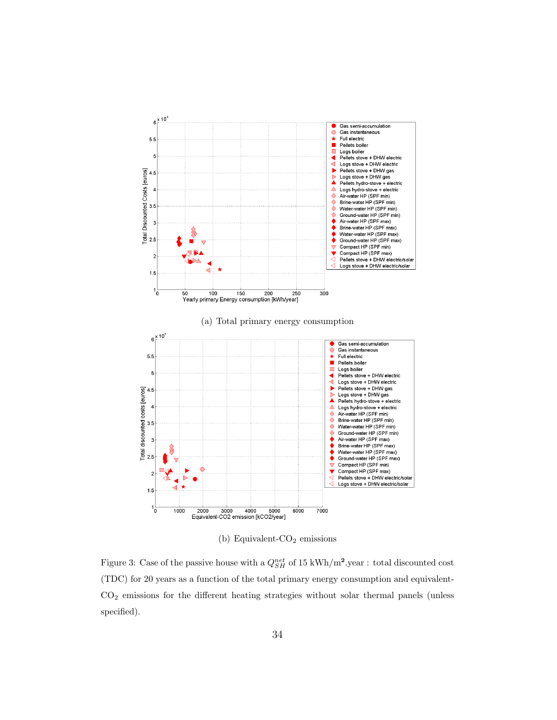

(b) Equivalent- $CO<sub>2</sub>$  emissions

Figure 3: Case of the passive house with a  $Q_{SH}^{net}$  of 15 kWh/m<sup>2</sup>.year : total discounted cost (TDC) for 20 years as a function of the total primary energy consumption and equivalent-CO<sup>2</sup> emissions for the different heating strategies without solar thermal panels (unless specified).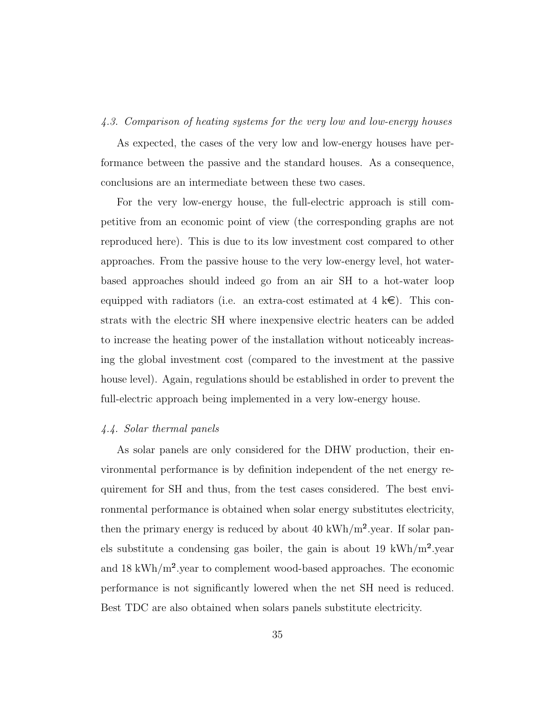#### 4.3. Comparison of heating systems for the very low and low-energy houses

As expected, the cases of the very low and low-energy houses have performance between the passive and the standard houses. As a consequence, conclusions are an intermediate between these two cases.

For the very low-energy house, the full-electric approach is still competitive from an economic point of view (the corresponding graphs are not reproduced here). This is due to its low investment cost compared to other approaches. From the passive house to the very low-energy level, hot waterbased approaches should indeed go from an air SH to a hot-water loop equipped with radiators (i.e. an extra-cost estimated at  $4 \text{ } k \infty$ ). This constrats with the electric SH where inexpensive electric heaters can be added to increase the heating power of the installation without noticeably increasing the global investment cost (compared to the investment at the passive house level). Again, regulations should be established in order to prevent the full-electric approach being implemented in a very low-energy house.

# 4.4. Solar thermal panels

As solar panels are only considered for the DHW production, their environmental performance is by definition independent of the net energy requirement for SH and thus, from the test cases considered. The best environmental performance is obtained when solar energy substitutes electricity, then the primary energy is reduced by about 40 kWh/m<sup>2</sup>.year. If solar panels substitute a condensing gas boiler, the gain is about 19 kWh/ $m^2$ .year and  $18 \text{ kWh/m}^2$  year to complement wood-based approaches. The economic performance is not significantly lowered when the net SH need is reduced. Best TDC are also obtained when solars panels substitute electricity.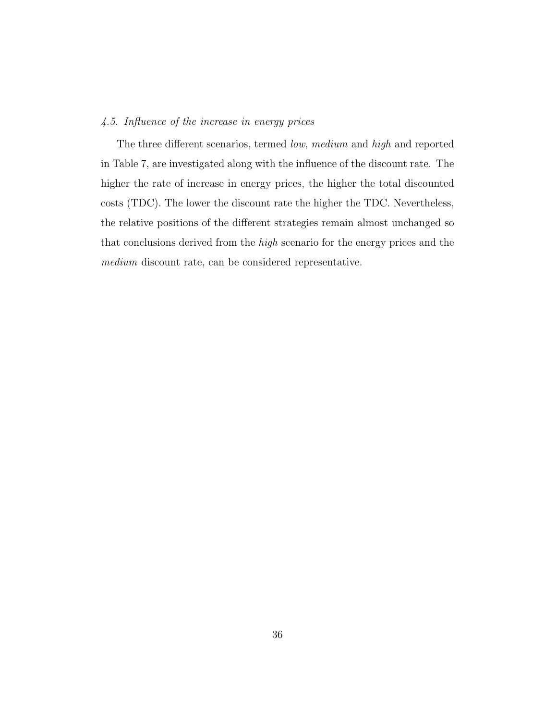## 4.5. Influence of the increase in energy prices

The three different scenarios, termed low, medium and high and reported in Table 7, are investigated along with the influence of the discount rate. The higher the rate of increase in energy prices, the higher the total discounted costs (TDC). The lower the discount rate the higher the TDC. Nevertheless, the relative positions of the different strategies remain almost unchanged so that conclusions derived from the high scenario for the energy prices and the medium discount rate, can be considered representative.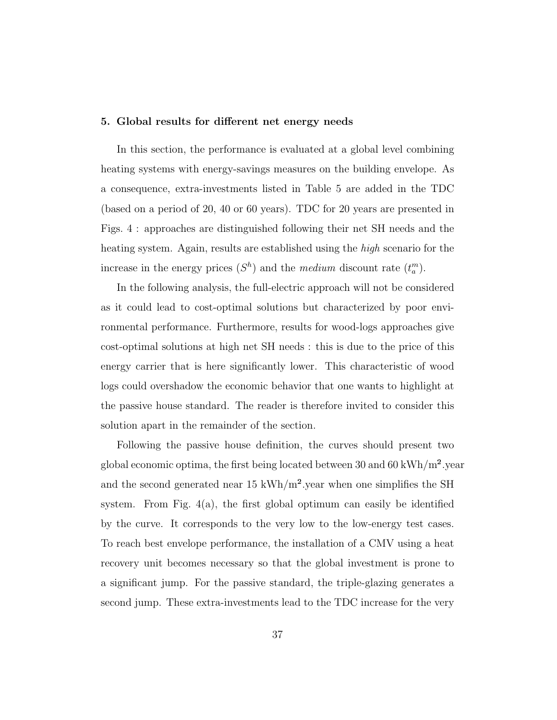## 5. Global results for different net energy needs

In this section, the performance is evaluated at a global level combining heating systems with energy-savings measures on the building envelope. As a consequence, extra-investments listed in Table 5 are added in the TDC (based on a period of 20, 40 or 60 years). TDC for 20 years are presented in Figs. 4 : approaches are distinguished following their net SH needs and the heating system. Again, results are established using the *high* scenario for the increase in the energy prices  $(S<sup>h</sup>)$  and the *medium* discount rate  $(t<sub>a</sub><sup>m</sup>)$ .

In the following analysis, the full-electric approach will not be considered as it could lead to cost-optimal solutions but characterized by poor environmental performance. Furthermore, results for wood-logs approaches give cost-optimal solutions at high net SH needs : this is due to the price of this energy carrier that is here significantly lower. This characteristic of wood logs could overshadow the economic behavior that one wants to highlight at the passive house standard. The reader is therefore invited to consider this solution apart in the remainder of the section.

Following the passive house definition, the curves should present two global economic optima, the first being located between 30 and 60 kWh/m².year and the second generated near 15 kWh/m².year when one simplifies the SH system. From Fig.  $4(a)$ , the first global optimum can easily be identified by the curve. It corresponds to the very low to the low-energy test cases. To reach best envelope performance, the installation of a CMV using a heat recovery unit becomes necessary so that the global investment is prone to a significant jump. For the passive standard, the triple-glazing generates a second jump. These extra-investments lead to the TDC increase for the very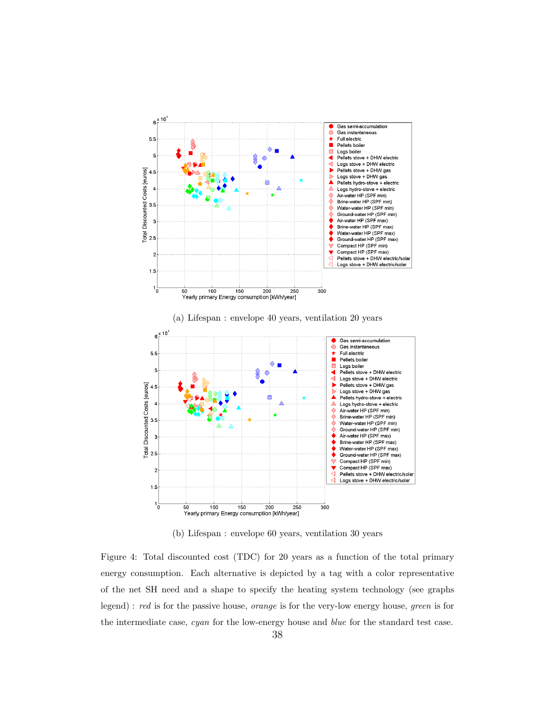

(b) Lifespan : envelope 60 years, ventilation 30 years

Figure 4: Total discounted cost (TDC) for 20 years as a function of the total primary energy consumption. Each alternative is depicted by a tag with a color representative of the net SH need and a shape to specify the heating system technology (see graphs legend) : red is for the passive house, orange is for the very-low energy house, green is for the intermediate case, cyan for the low-energy house and blue for the standard test case.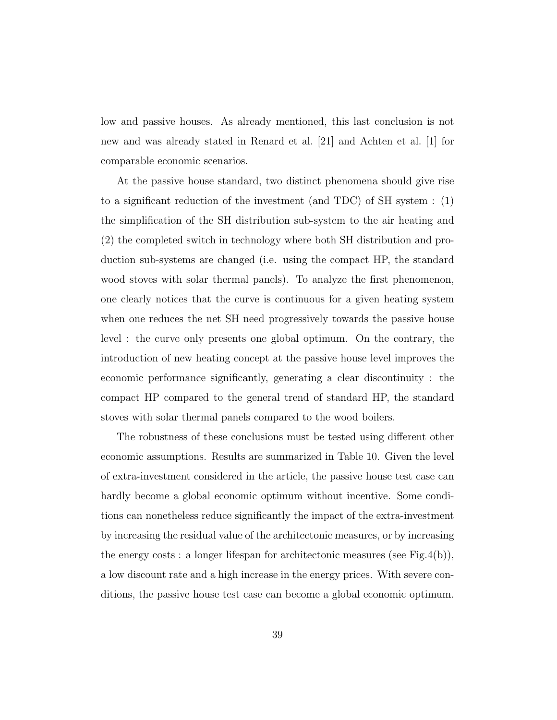low and passive houses. As already mentioned, this last conclusion is not new and was already stated in Renard et al. [21] and Achten et al. [1] for comparable economic scenarios.

At the passive house standard, two distinct phenomena should give rise to a significant reduction of the investment (and TDC) of SH system : (1) the simplification of the SH distribution sub-system to the air heating and (2) the completed switch in technology where both SH distribution and production sub-systems are changed (i.e. using the compact HP, the standard wood stoves with solar thermal panels). To analyze the first phenomenon, one clearly notices that the curve is continuous for a given heating system when one reduces the net SH need progressively towards the passive house level : the curve only presents one global optimum. On the contrary, the introduction of new heating concept at the passive house level improves the economic performance significantly, generating a clear discontinuity : the compact HP compared to the general trend of standard HP, the standard stoves with solar thermal panels compared to the wood boilers.

The robustness of these conclusions must be tested using different other economic assumptions. Results are summarized in Table 10. Given the level of extra-investment considered in the article, the passive house test case can hardly become a global economic optimum without incentive. Some conditions can nonetheless reduce significantly the impact of the extra-investment by increasing the residual value of the architectonic measures, or by increasing the energy costs : a longer lifespan for architectonic measures (see Fig.4(b)), a low discount rate and a high increase in the energy prices. With severe conditions, the passive house test case can become a global economic optimum.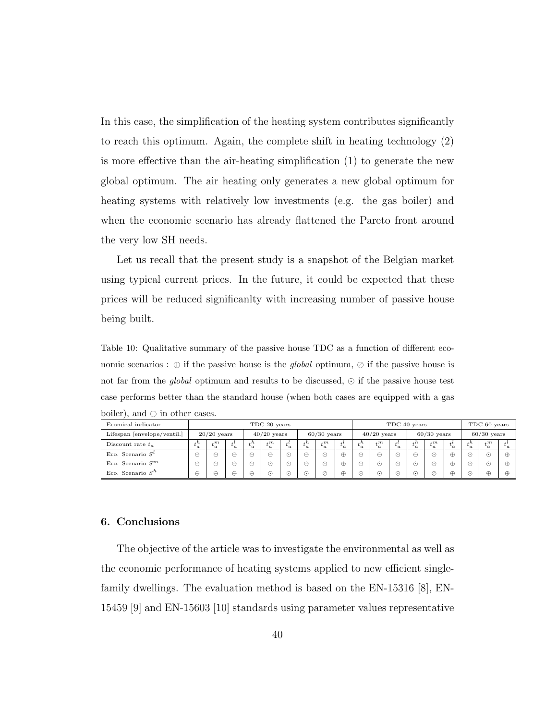In this case, the simplification of the heating system contributes significantly to reach this optimum. Again, the complete shift in heating technology (2) is more effective than the air-heating simplification (1) to generate the new global optimum. The air heating only generates a new global optimum for heating systems with relatively low investments (e.g. the gas boiler) and when the economic scenario has already flattened the Pareto front around the very low SH needs.

Let us recall that the present study is a snapshot of the Belgian market using typical current prices. In the future, it could be expected that these prices will be reduced significanlty with increasing number of passive house being built.

Table 10: Qualitative summary of the passive house TDC as a function of different economic scenarios : ⊕ if the passive house is the *global* optimum,  $\oslash$  if the passive house is not far from the *global* optimum and results to be discussed,  $\odot$  if the passive house test case performs better than the standard house (when both cases are equipped with a gas boiler), and  $\ominus$  in other cases.

| Ecomical indicator          |               | TDC 20 years |                           |                       |         |                   |                                   |                         |               | TDC 40 years |                                 |                           |               |                         |               |                        | TDC 60 years           |          |  |
|-----------------------------|---------------|--------------|---------------------------|-----------------------|---------|-------------------|-----------------------------------|-------------------------|---------------|--------------|---------------------------------|---------------------------|---------------|-------------------------|---------------|------------------------|------------------------|----------|--|
| Lifespan [envelope/ventil.] | $20/20$ years |              | $40/20$ years             |                       |         | $60/30$ years     |                                   |                         | $40/20$ years |              |                                 | $60/30$ years             |               |                         | $60/30$ years |                        |                        |          |  |
| Discount rate $t_a$         | $\cdot$ n     | $t_a^m$      | $\mathbf{r}$<br>$\iota_a$ | $\mathbf{r}$<br>$a_a$ | $t_a^m$ | $\mathbf{r}$<br>a | $\mathbf{h}$<br>$\mathcal{L}_{a}$ | $\sqrt{m}$<br>$\iota_a$ | $\iota_a$     | h<br>a       | $\lrcorner m$<br>$\mathfrak{a}$ | $\mathbf{r}$<br>$\iota_a$ | $+ h$<br>a    | $_{+}m$<br>$^{\iota}$ a | $\iota_a$     | h<br>$\iota_a$         | $\lceil m \rceil$<br>a | $\alpha$ |  |
| Eco. Scenario $S^t$         | ⇔             |              | е                         |                       | е       |                   | ⊖                                 | $\odot$                 | $\oplus$      |              | $\ominus$                       | ۰.،                       | Θ             | Э                       | ⊕             | $\left( \cdot \right)$ | $\left( \cdot \right)$ | ₩        |  |
| Eco. Scenario $S^m$         | ⊖             |              | е                         | ↩                     | ⊙       | ۰۱.               | ⊖                                 | $\odot$                 | $\oplus$      |              | ⊙                               | . .                       | $(\,\cdot\,)$ | ۰.۱                     | $\oplus$      | ۰.۱                    | $\left( \cdot \right)$ | ⊕        |  |
| Eco. Scenario $S^h$         | ⇔             |              | Θ                         | ⇔                     | ⊙       | (1)               | ۰.۱                               | Ø                       | ⊕             | $( \cdot )$  | ⊙                               | ۰.۱                       | ۰۰۱           | ⊘                       | $\oplus$      | (1)                    | $\oplus$               | ⊕        |  |

# 6. Conclusions

The objective of the article was to investigate the environmental as well as the economic performance of heating systems applied to new efficient singlefamily dwellings. The evaluation method is based on the EN-15316 [8], EN-15459 [9] and EN-15603 [10] standards using parameter values representative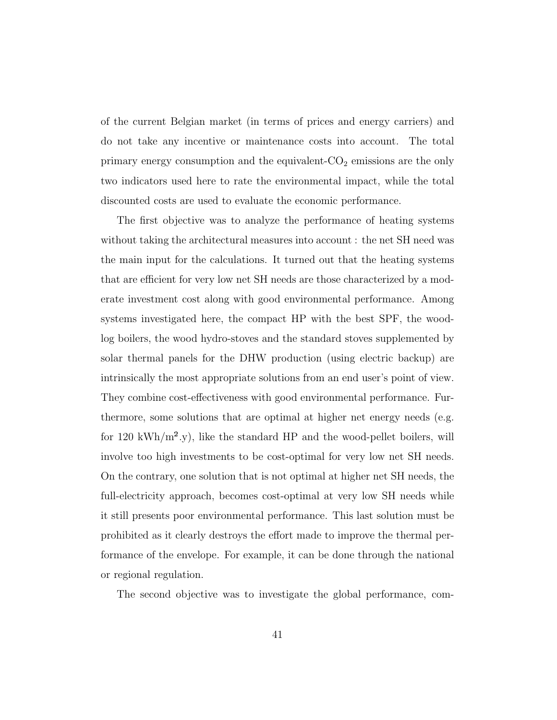of the current Belgian market (in terms of prices and energy carriers) and do not take any incentive or maintenance costs into account. The total primary energy consumption and the equivalent- $CO<sub>2</sub>$  emissions are the only two indicators used here to rate the environmental impact, while the total discounted costs are used to evaluate the economic performance.

The first objective was to analyze the performance of heating systems without taking the architectural measures into account : the net SH need was the main input for the calculations. It turned out that the heating systems that are efficient for very low net SH needs are those characterized by a moderate investment cost along with good environmental performance. Among systems investigated here, the compact HP with the best SPF, the woodlog boilers, the wood hydro-stoves and the standard stoves supplemented by solar thermal panels for the DHW production (using electric backup) are intrinsically the most appropriate solutions from an end user's point of view. They combine cost-effectiveness with good environmental performance. Furthermore, some solutions that are optimal at higher net energy needs (e.g. for 120 kWh/m<sup>2</sup>.y), like the standard HP and the wood-pellet boilers, will involve too high investments to be cost-optimal for very low net SH needs. On the contrary, one solution that is not optimal at higher net SH needs, the full-electricity approach, becomes cost-optimal at very low SH needs while it still presents poor environmental performance. This last solution must be prohibited as it clearly destroys the effort made to improve the thermal performance of the envelope. For example, it can be done through the national or regional regulation.

The second objective was to investigate the global performance, com-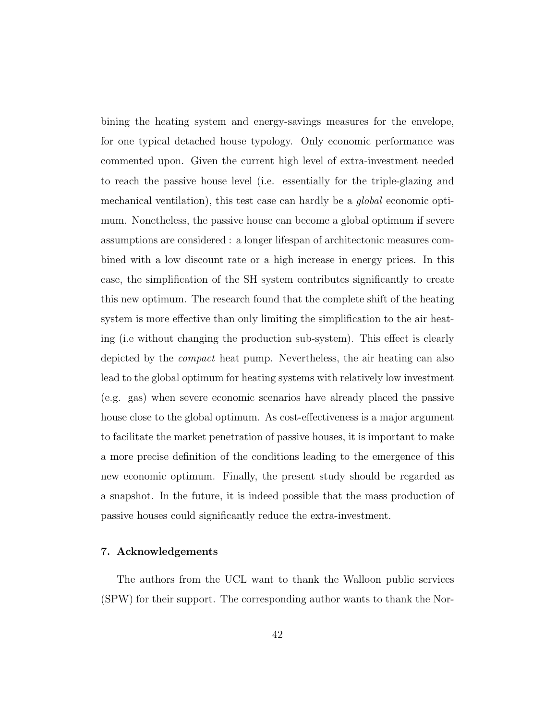bining the heating system and energy-savings measures for the envelope, for one typical detached house typology. Only economic performance was commented upon. Given the current high level of extra-investment needed to reach the passive house level (i.e. essentially for the triple-glazing and mechanical ventilation), this test case can hardly be a global economic optimum. Nonetheless, the passive house can become a global optimum if severe assumptions are considered : a longer lifespan of architectonic measures combined with a low discount rate or a high increase in energy prices. In this case, the simplification of the SH system contributes significantly to create this new optimum. The research found that the complete shift of the heating system is more effective than only limiting the simplification to the air heating (i.e without changing the production sub-system). This effect is clearly depicted by the compact heat pump. Nevertheless, the air heating can also lead to the global optimum for heating systems with relatively low investment (e.g. gas) when severe economic scenarios have already placed the passive house close to the global optimum. As cost-effectiveness is a major argument to facilitate the market penetration of passive houses, it is important to make a more precise definition of the conditions leading to the emergence of this new economic optimum. Finally, the present study should be regarded as a snapshot. In the future, it is indeed possible that the mass production of passive houses could significantly reduce the extra-investment.

# 7. Acknowledgements

The authors from the UCL want to thank the Walloon public services (SPW) for their support. The corresponding author wants to thank the Nor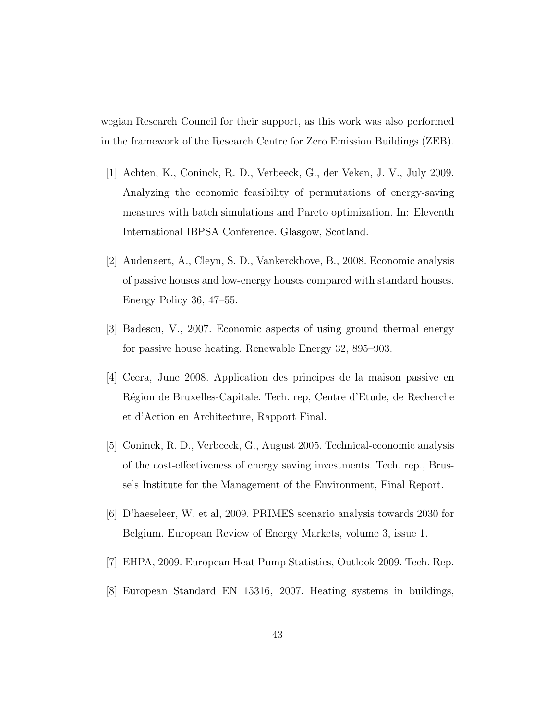wegian Research Council for their support, as this work was also performed in the framework of the Research Centre for Zero Emission Buildings (ZEB).

- [1] Achten, K., Coninck, R. D., Verbeeck, G., der Veken, J. V., July 2009. Analyzing the economic feasibility of permutations of energy-saving measures with batch simulations and Pareto optimization. In: Eleventh International IBPSA Conference. Glasgow, Scotland.
- [2] Audenaert, A., Cleyn, S. D., Vankerckhove, B., 2008. Economic analysis of passive houses and low-energy houses compared with standard houses. Energy Policy 36, 47–55.
- [3] Badescu, V., 2007. Economic aspects of using ground thermal energy for passive house heating. Renewable Energy 32, 895–903.
- [4] Ceera, June 2008. Application des principes de la maison passive en Région de Bruxelles-Capitale. Tech. rep, Centre d'Etude, de Recherche et d'Action en Architecture, Rapport Final.
- [5] Coninck, R. D., Verbeeck, G., August 2005. Technical-economic analysis of the cost-effectiveness of energy saving investments. Tech. rep., Brussels Institute for the Management of the Environment, Final Report.
- [6] D'haeseleer, W. et al, 2009. PRIMES scenario analysis towards 2030 for Belgium. European Review of Energy Markets, volume 3, issue 1.
- [7] EHPA, 2009. European Heat Pump Statistics, Outlook 2009. Tech. Rep.
- [8] European Standard EN 15316, 2007. Heating systems in buildings,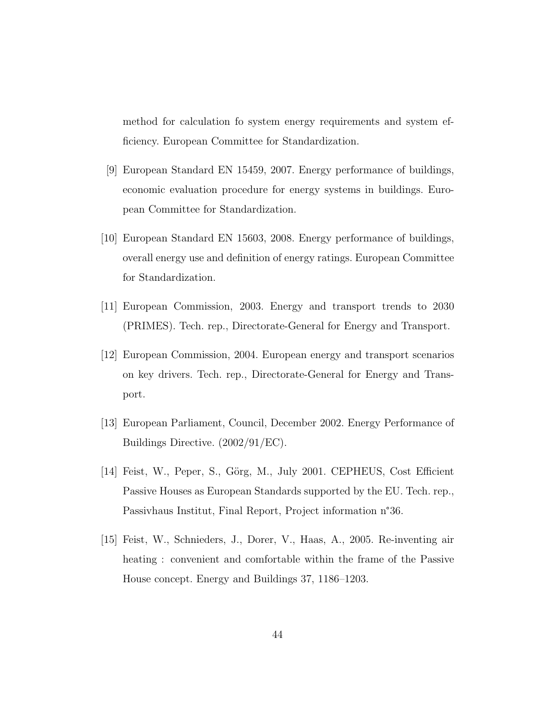method for calculation fo system energy requirements and system efficiency. European Committee for Standardization.

- [9] European Standard EN 15459, 2007. Energy performance of buildings, economic evaluation procedure for energy systems in buildings. European Committee for Standardization.
- [10] European Standard EN 15603, 2008. Energy performance of buildings, overall energy use and definition of energy ratings. European Committee for Standardization.
- [11] European Commission, 2003. Energy and transport trends to 2030 (PRIMES). Tech. rep., Directorate-General for Energy and Transport.
- [12] European Commission, 2004. European energy and transport scenarios on key drivers. Tech. rep., Directorate-General for Energy and Transport.
- [13] European Parliament, Council, December 2002. Energy Performance of Buildings Directive. (2002/91/EC).
- [14] Feist, W., Peper, S., Görg, M., July 2001. CEPHEUS, Cost Efficient Passive Houses as European Standards supported by the EU. Tech. rep., Passivhaus Institut, Final Report, Project information n°36.
- [15] Feist, W., Schnieders, J., Dorer, V., Haas, A., 2005. Re-inventing air heating : convenient and comfortable within the frame of the Passive House concept. Energy and Buildings 37, 1186–1203.